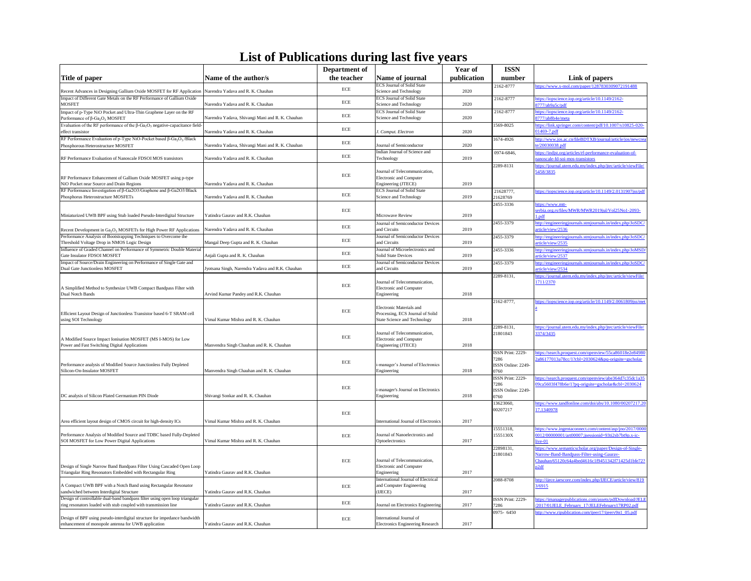| 155N                               |                                                                                                              |
|------------------------------------|--------------------------------------------------------------------------------------------------------------|
| number                             | Link of papers                                                                                               |
| 2162-8777                          | https://www.x-mol.com/paper/1287830309072191488                                                              |
| 2162-8777                          | https://iopscience.iop.org/article/10.1149/2162-<br>8777/ab9a5c/pdf                                          |
| 2162-8777                          | https://iopscience.iop.org/article/10.1149/2162-<br>8777/ab8b4e/meta                                         |
| 1569-8025                          | https://link.springer.com/content/pdf/10.1007/s10825-020-<br>$01469 - 7.$ pdf                                |
| 1674-4926                          | http://www.jos.ac.cn/fileBDTXB/journal/article/jos/newcrea<br>te/20030038.pdf                                |
| 0974-6846,                         | https://indjst.org/articles/rf-performance-evaluation-of-<br>nanoscale-fd-soi-mos-transistors                |
| 2289-8131                          | https://journal.utem.edu.my/index.php/jtec/article/viewFile/<br>5458/3835                                    |
| 21628777,<br>21628769              | https://iopscience.iop.org/article/10.1149/2.0131907jss/pdf                                                  |
| 2455-3336                          | https://www.mtt-<br>serbia.org.rs/files/MWR/MWR2019jul/Vol25No1-2093-<br>1.pdf                               |
| 2455-3379                          | http://engineeringjournals.stmjournals.in/index.php/JoSDC/<br>article/view/2536                              |
| 2455-3379                          | http://engineeringjournals.stmjournals.in/index.php/JoSDC/<br>article/view/2535                              |
| 2455-3336                          | http://engineeringjournals.stmjournals.in/index.php/JoMSD/<br>article/view/2537                              |
| 2455-3379                          | http://engineeringjournals.stmjournals.in/index.php/JoSDC/<br>article/view/2534                              |
| $\overline{2289}$ -8131,           | https://journal.utem.edu.my/index.php/jtec/article/viewFile/<br>1711/2370                                    |
| 2162-8777,                         | https://iopscience.iop.org/article/10.1149/2.0061809jss/met<br>$\overline{\mathbf{a}}$                       |
| 2289-8131,<br>21801843             | https://journal.utem.edu.my/index.php/jtec/article/viewFile/<br>3374/3435                                    |
| ISSN Print: 2229-                  | https://search.proquest.com/openview/55ca86018e2e84980                                                       |
| 7286<br>ISSN Online: 2249-<br>0760 | $2a86177013a78cc/1?cbl=2030624&pq-origsite=gscholar$                                                         |
| ISSN Print: 2229-<br>7286          | https://search.proquest.com/openview/abe364d7c35dc1a35<br>09ca5603f478b6e/1?pq-origsite=gscholar&cbl=2030624 |
| ISSN Online: 2249-<br>0760         |                                                                                                              |
| 13623060,<br>00207217              | https://www.tandfonline.com/doi/abs/10.1080/00207217.20<br>17.1340978                                        |
| 15551318,                          | https://www.ingentaconnect.com/content/asp/jno/2017/0000                                                     |
| 1555130X                           | 0012/00000001/art00007;jsessionid=93ti2sb7bt9p.x-ic-<br>live-01                                              |
| 22898131,                          | https://www.semanticscholar.org/paper/Design-of-Single-                                                      |
| 21801843                           | Narrow-Band-Bandpass-Filter-using-Gaurav-                                                                    |
|                                    | Chauhan/65120c64a4bed4616c1f9451342f71425d1bfe72?<br>p2df                                                    |
| 2088-8708                          | http://ijece.iaescore.com/index.php/IJECE/article/view/819<br>3/6915                                         |
| ISSN Print: 2229-<br>7286          | https://imanagerpublications.com/assets/pdfDownload/JELE<br>/2017/01JELE_February_17/JELEFebruary17RP02.pdf  |
| 0975-6450                          | http://www.ripublication.com/ijeer17/ijeerv9n1_05.pdf                                                        |
|                                    |                                                                                                              |

|                                                                                                                                                |                                                  | Department of |                                                                                                     | <b>Year of</b> | <b>ISSN</b>                                             |
|------------------------------------------------------------------------------------------------------------------------------------------------|--------------------------------------------------|---------------|-----------------------------------------------------------------------------------------------------|----------------|---------------------------------------------------------|
| Title of paper                                                                                                                                 | Name of the author/s                             | the teacher   | Name of journal                                                                                     | publication    | number                                                  |
| Recent Advances in Designing Gallium Oxide MOSFET for RF Application Narendra Yadava and R. K. Chauhan                                         |                                                  | <b>ECE</b>    | <b>ECS Journal of Solid State</b><br>Science and Technology                                         | 2020           | 2162-8777                                               |
| Impact of Different Gate Metals on the RF Performance of Gallium Oxide<br><b>MOSFET</b>                                                        | Narendra Yadava and R. K. Chauhan                | ECE           | <b>ECS Journal of Solid State</b><br>Science and Technology                                         | 2020           | 2162-8777                                               |
| Impact of p-Type NiO Pocket and Ultra-Thin Graphene Layer on the RF<br>Performance of $\beta$ -Ga <sub>2</sub> O <sub>3</sub> MOSFET           | Narendra Yadava, Shivangi Mani and R. K. Chauhan | ECE           | <b>ECS Journal of Solid State</b><br>Science and Technology                                         | 2020           | 2162-8777                                               |
| Evaluation of the RF performance of the $\beta$ -Ga <sub>2</sub> O <sub>3</sub> negative-capacitance field-<br>effect transistor               | Narendra Yadava and R. K. Chauhan                | ECE           | J. Comput. Electron                                                                                 | 2020           | 1569-8025                                               |
| RF Performance Evaluation of p-Type NiO-Pocket based $\beta$ -Ga <sub>2</sub> O <sub>3</sub> /Black<br>Phosphorous Heterostructure MOSFET      | Narendra Yadava, Shivangi Mani and R. K. Chauhan | ECE           | Journal of Semiconductor                                                                            | 2020           | 1674-4926                                               |
| RF Performance Evaluation of Nanoscale FDSOI MOS transistors                                                                                   | Narendra Yadava and R. K. Chauhan                | $\rm ECE$     | Indian Journal of Science and<br>Technology                                                         | 2019           | 0974-6846,                                              |
| RF Performance Enhancement of Gallium Oxide MOSFET using p-type<br>NiO Pocket near Source and Drain Regions                                    | Narendra Yadava and R. K. Chauhan                | <b>ECE</b>    | Journal of Telecommunication,<br>Electronic and Computer<br>Engineering (JTECE)                     | 2019           | 2289-8131                                               |
| RF Performance Investigation of β-Ga2O3/Graphene and β-Ga2O3/Black<br>Phosphorus Heterostructure MOSFETs                                       | Narendra Yadava and R. K. Chauhan                | <b>ECE</b>    | <b>ECS Journal of Solid State</b><br>Science and Technology                                         | 2019           | 21628777,<br>21628769                                   |
| Miniaturized UWB BPF using Stub loaded Pseudo-Interdigital Structure                                                                           | Yatindra Gaurav and R.K. Chauhan                 | <b>ECE</b>    | Microwave Review                                                                                    | 2019           | 2455-3336                                               |
| Recent Development in $Ga2O3$ MOSFETs for High Power RF Applications                                                                           | Narendra Yadava and R. K. Chauhan                | ECE           | Journal of Semiconductor Devices<br>and Circuits                                                    | 2019           | 2455-3379                                               |
| Performance Analysis of Bootstrapping Techniques to Overcome the<br>Threshold Voltage Drop in NMOS Logic Design                                | Mangal Deep Gupta and R. K. Chauhan              | ECE           | Journal of Semiconductor Devices<br>and Circuits                                                    | 2019           | 2455-3379                                               |
| Influence of Graded Channel on Performance of Symmetric Double Material<br>Gate Insulator FDSOI MOSFET                                         | Anjali Gupta and R. K. Chauhan                   | ECE           | Journal of Microelectronics and<br><b>Solid State Devices</b>                                       | 2019           | 2455-3336                                               |
| Impact of Source/Drain Engineering on Performance of Single Gate and<br>Dual Gate Junctionless MOSFET                                          | Jyotsana Singh, Narendra Yadava and R.K. Chauhan | $\rm ECE$     | Journal of Semiconductor Devices<br>and Circuits                                                    | 2019           | 2455-3379                                               |
| A Simplified Method to Synthesize UWB Compact Bandpass Filter with<br>Dual Notch Bands                                                         | Arvind Kumar Pandey and R.K. Chauhan             | <b>ECE</b>    | Journal of Telecommunication,<br>Electronic and Computer<br>Engineering                             | 2018           | 2289-8131,                                              |
| Efficient Layout Design of Junctionless Transistor based 6-T SRAM cell<br>using SOI Technology                                                 | Vimal Kumar Mishra and R. K. Chauhan             | <b>ECE</b>    | Electronic Materials and<br>Processing, ECS Journal of Solid<br><b>State Science and Technology</b> | 2018           | 2162-8777,                                              |
| A Modified Source Impact Ionisation MOSFET (MS I-MOS) for Low<br>Power and Fast Switching Digital Applications                                 | Manvendra Singh Chauhan and R. K. Chauhan        | $\rm ECE$     | Journal of Telecommunication,<br><b>Electronic and Computer</b><br>Engineering (JTECE)              | 2018           | 2289-8131,<br>21801843                                  |
| Performance analysis of Modified Source Junctionless Fully Depleted<br>Silicon-On-Insulator MOSFET                                             | Manvendra Singh Chauhan and R. K. Chauhan        | ECE           | -manager's Journal of Electronics<br>Engineering                                                    | 2018           | ISSN Print: 2229-<br>7286<br>ISSN Online: 2249-<br>0760 |
| DC analysis of Silicon Plated Germanium PIN Diode                                                                                              | Shivangi Sonkar and R. K. Chauhan                | ECE           | -manager's Journal on Electronics<br>Engineering                                                    | 2018           | ISSN Print: 2229-<br>7286<br>ISSN Online: 2249-<br>0760 |
| Area efficient layout design of CMOS circuit for high-density ICs                                                                              | Vimal Kumar Mishra and R. K. Chauhan             | ECE           | <b>International Journal of Electronics</b>                                                         | 2017           | 13623060,<br>00207217                                   |
| Performance Analysis of Modified Source and TDBC based Fully-Depleted<br>SOI MOSFET for Low Power Digital Applications                         | Vimal Kumar Mishra and R. K. Chauhan             | <b>ECE</b>    | Journal of Nanoelectronics and<br>Optoelectronics                                                   | 2017           | 15551318,<br>1555130X                                   |
| Design of Single Narrow Band Bandpass Filter Using Cascaded Open Loop<br>Triangular Ring Resonators Embedded with Rectangular Ring             | Yatindra Gaurav and R.K. Chauhan                 | <b>ECE</b>    | Journal of Telecommunication,<br><b>Electronic and Computer</b><br>Engineering                      | 2017           | 22898131,<br>21801843                                   |
| A Compact UWB BPF with a Notch Band using Rectangular Resonator<br>sandwiched between Interdigital Structure                                   | Yatindra Gaurav and R.K. Chauhan                 | ECE           | <b>International Journal of Electrical</b><br>and Computer Engineering<br>(IJECE)                   | 2017           | 2088-8708                                               |
| Design of controllable dual-band bandpass filter using open loop triangular<br>ring resonators loaded with stub coupled with transmission line | Yatindra Gaurav and R.K. Chauhan                 | ECE           | Journal on Electronics Engineering                                                                  | 2017           | ISSN Print: 2229-<br>7286                               |
| Design of BPF using pseudo-interdigital structure for impedance bandwidth<br>enhancement of monopole antenna for UWB application               | Yatindra Gaurav and R.K. Chauhan                 | ECE           | International Journal of<br><b>Electronics Engineering Research</b>                                 | 2017           | 0975-6450                                               |

## **List of Publications during last five years**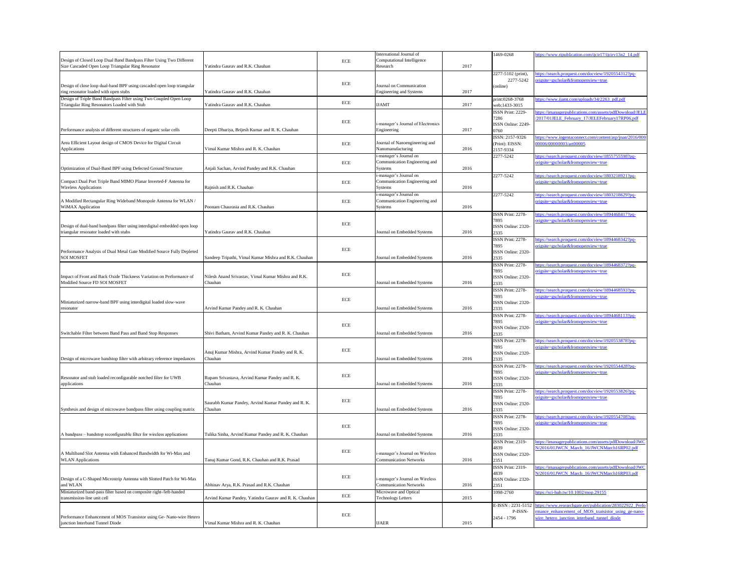| 1469-0268                    | https://www.ripublication.com/ijcir17/ijcirv13n2_14.pdf                                                         |
|------------------------------|-----------------------------------------------------------------------------------------------------------------|
|                              |                                                                                                                 |
|                              |                                                                                                                 |
| 2277-5102 (print),           | https://search.proquest.com/docview/1920554312?pq-                                                              |
| 2277-5242<br>(online)        | origsite=gscholar&fromopenview=true                                                                             |
|                              |                                                                                                                 |
| print:0268-3768              | https://www.ijamt.com/uploads/34/2263_pdf.pdf                                                                   |
| web:1433-3015                |                                                                                                                 |
| ISSN Print: 2229-            | https://imanagerpublications.com/assets/pdfDownload/JELE<br>/2017/01JELE February 17/JELEFebruary17RP06.pdf     |
| 7286<br>ISSN Online: 2249-   |                                                                                                                 |
| 0760                         |                                                                                                                 |
| ISSN: 2157-9326              | https://www.ingentaconnect.com/content/asp/jnan/2016/000                                                        |
| (Print): EISSN:              | 00006/00000003/art00005                                                                                         |
| 2157-9334<br>2277-5242       | https://search.proquest.com/docview/1855755598?pq-                                                              |
|                              | origsite=gscholar&fromopenview=true                                                                             |
|                              |                                                                                                                 |
| 2277-5242                    | https://search.proquest.com/docview/1803218921?pq-                                                              |
|                              | origsite=gscholar&fromopenview=true                                                                             |
| 2277-5242                    | https://search.proquest.com/docview/1803218629?pq-                                                              |
|                              | origsite=gscholar&fromopenview=true                                                                             |
|                              |                                                                                                                 |
| ISSN Print: 2278-            | https://search.proquest.com/docview/1894468417?pq-                                                              |
| 7895                         | origsite=gscholar&fromopenview=true                                                                             |
| ISSN Online: 2320-<br>2335   |                                                                                                                 |
| ISSN Print: 2278-            | https://search.proquest.com/docview/1894468342?pq-                                                              |
| 7895                         | origsite=gscholar&fromopenview=true                                                                             |
| ISSN Online: 2320-           |                                                                                                                 |
| 2335<br>ISSN Print: 2278-    |                                                                                                                 |
| 7895                         | https://search.proquest.com/docview/1894468372?pq-<br>origsite=gscholar&fromopenview=true                       |
| ISSN Online: 2320-           |                                                                                                                 |
| 2335                         |                                                                                                                 |
| ISSN Print: 2278-<br>7895    | https://search.proquest.com/docview/1894468593?pq-                                                              |
| ISSN Online: 2320-           | origsite=gscholar&fromopenview=true                                                                             |
| 2335                         |                                                                                                                 |
| ISSN Print: 2278-            | https://search.proquest.com/docview/1894468113?pq-                                                              |
| 7895                         | origsite=gscholar&fromopenview=true                                                                             |
| ISSN Online: 2320-<br>2335   |                                                                                                                 |
| ISSN Print: 2278-            | https://search.proquest.com/docview/1920553878?pq-                                                              |
| 7895                         | origsite=gscholar&fromopenview=true                                                                             |
| ISSN Online: 2320-           |                                                                                                                 |
| 2335<br>ISSN Print: 2278-    | https://search.proquest.com/docview/1920554428?pq-                                                              |
| 7895                         | origsite=gscholar&fromopenview=true                                                                             |
| ISSN Online: 2320-           |                                                                                                                 |
| 2335                         |                                                                                                                 |
| ISSN Print: 2278-<br>7895    | https://search.proquest.com/docview/1920553826?pq-                                                              |
| ISSN Online: 2320-           | origsite=gscholar&fromopenview=true                                                                             |
| 2335                         |                                                                                                                 |
| ISSN Print: 2278-            | https://search.proquest.com/docview/1920554708?pq-                                                              |
| 7895                         | origsite=gscholar&fromopenview=true                                                                             |
| ISSN Online: 2320-<br>2335   |                                                                                                                 |
| ISSN Print: 2319-            | https://imanagerpublications.com/assets/pdfDownload/JWC                                                         |
| 4839                         | N/2016/01JWCN March 16/JWCNMarch16RP02.pdf                                                                      |
| ISSN Online: 2320-           |                                                                                                                 |
| 2351<br>ISSN Print: 2319-    |                                                                                                                 |
| 4839                         | https://imanagerpublications.com/assets/pdfDownload/JWC<br>N/2016/01JWCN_March_16/JWCNMarch16RP03.pdf           |
| ISSN Online: 2320-           |                                                                                                                 |
| 2351                         |                                                                                                                 |
| 1098-2760                    | https://sci-hub.tw/10.1002/mop.29155                                                                            |
|                              |                                                                                                                 |
| E-ISSN: 2231-5152<br>P-ISSN- | https://www.researchgate.net/publication/283022922_Perfo<br>rmance enhancement of MOS transistor using ge-nano- |
| 2454 - 1796                  | wire hetero junction interband tunnel diode                                                                     |
|                              |                                                                                                                 |

|                                                                                                                          |                                                             |             | International Journal of                                   |      | 1469-0268                          |
|--------------------------------------------------------------------------------------------------------------------------|-------------------------------------------------------------|-------------|------------------------------------------------------------|------|------------------------------------|
| Design of Closed Loop Dual Band Bandpass Filter Using Two Different<br>Size Cascaded Open Loop Triangular Ring Resonator | Yatindra Gaurav and R.K. Chauhan                            | <b>ECE</b>  | Computational Intelligence<br>Research                     | 2017 |                                    |
|                                                                                                                          |                                                             |             |                                                            |      | 2277-5102 (print),                 |
|                                                                                                                          |                                                             | ECE         |                                                            |      | 2277-5242                          |
| Design of close loop dual-band BPF using cascaded open loop triangular<br>ring resonator loaded with open stubs          | Yatindra Gaurav and R.K. Chauhan                            |             | Journal on Communication<br><b>Engineering and Systems</b> | 2017 | (online)                           |
| Design of Triple Band Bandpass Filter using Two Coupled Open Loop                                                        |                                                             |             |                                                            |      | print:0268-3768                    |
| Triangular Ring Resonators Loaded with Stub                                                                              | Yatindra Gaurav and R.K. Chauhan                            | ECE         | <b>IJAMT</b>                                               | 2017 | web:1433-3015                      |
|                                                                                                                          |                                                             |             |                                                            |      | ISSN Print: 2229-<br>7286          |
|                                                                                                                          |                                                             | ECE         | i-manager's Journal of Electronics                         |      | ISSN Online: 2249-                 |
| Performance analysis of different structures of organic solar cells                                                      | Deepti Dhuriya, Brijesh Kumar and R. K. Chauhan             |             | Engineering                                                | 2017 | 0760                               |
| Area Efficient Layout design of CMOS Device for Digital Circuit                                                          |                                                             | <b>ECE</b>  | Journal of Nanoengineering and                             |      | ISSN: 2157-9326<br>(Print): EISSN: |
| Applications                                                                                                             | Vimal Kumar Mishra and R. K. Chauhan                        |             | Nanomanufacturing                                          | 2016 | 2157-9334                          |
|                                                                                                                          |                                                             |             | i-manager's Journal on                                     |      | 2277-5242                          |
| Optimization of Dual-Band BPF using Defected Ground Structure                                                            | Anjali Sachan, Arvind Pandey and R.K. Chauhan               | ECE         | Communication Engineering and<br>Systems                   | 2016 |                                    |
|                                                                                                                          |                                                             |             | i-manager's Journal on                                     |      | 2277-5242                          |
| Compact Dual Port Triple Band MIMO Planar Inverted-F Antenna for                                                         | Rajnish and R.K. Chauhan                                    | ECE         | Communication Engineering and                              | 2016 |                                    |
| <b>Wireless Applications</b>                                                                                             |                                                             |             | Systems<br>i-manager's Journal on                          |      | 2277-5242                          |
| A Modified Rectangular Ring Wideband Monopole Antenna for WLAN /                                                         |                                                             | ECE         | Communication Engineering and                              |      |                                    |
| <b>WiMAX</b> Application                                                                                                 | Poonam Chaurasia and R.K. Chauhan                           |             | Systems                                                    | 2016 |                                    |
|                                                                                                                          |                                                             |             |                                                            |      | ISSN Print: 2278-<br>7895          |
| Design of dual-band bandpass filter using interdigital embedded open loop                                                |                                                             | <b>ECE</b>  |                                                            |      | ISSN Online: 2320-                 |
| triangular resonator loaded with stubs                                                                                   | Yatindra Gaurav and R.K. Chauhan                            |             | Journal on Embedded Systems                                | 2016 | 2335                               |
|                                                                                                                          |                                                             |             |                                                            |      | ISSN Print: 2278-<br>7895          |
| Performance Analysis of Dual Metal Gate Modified Source Fully Depleted                                                   |                                                             | ECE         |                                                            |      | ISSN Online: 2320-                 |
| <b>SOI MOSFET</b>                                                                                                        | Sandeep Tripathi, Vimal Kumar Mishra and R.K. Chauhan       |             | Journal on Embedded Systems                                | 2016 | 2335<br>ISSN Print: 2278-          |
|                                                                                                                          |                                                             |             |                                                            |      | 7895                               |
| Impact of Front and Back Oxide Thickness Variation on Performance of                                                     | Nilesh Anand Srivastav, Vimal Kumar Mishra and R.K.         | <b>ECE</b>  |                                                            |      | ISSN Online: 2320-                 |
| Modified Source FD SOI MOSFET                                                                                            | Chauhan                                                     |             | Journal on Embedded Systems                                | 2016 | 2335<br>ISSN Print: 2278-          |
|                                                                                                                          |                                                             |             |                                                            |      | 7895                               |
| Miniaturized narrow-band BPF using interdigital loaded slow-wave                                                         |                                                             | ECE         |                                                            |      | ISSN Online: 2320-                 |
| resonator                                                                                                                | Arvind Kumar Pandey and R. K. Chauhan                       |             | Journal on Embedded Systems                                | 2016 | 2335<br>ISSN Print: 2278-          |
|                                                                                                                          |                                                             |             |                                                            |      | 7895                               |
| Switchable Filter between Band Pass and Band Stop Responses                                                              | Shivi Batham, Arvind Kumar Pandey and R. K. Chauhan         | ECE         | Journal on Embedded Systems                                | 2016 | ISSN Online: 2320-                 |
|                                                                                                                          |                                                             |             |                                                            |      | 2335<br>ISSN Print: 2278-          |
|                                                                                                                          |                                                             | $\rm ECE$   |                                                            |      | 7895                               |
| Design of microwave bandstop filter with arbitrary reference impedances                                                  | Anuj Kumar Mishra, Arvind Kumar Pandey and R. K.<br>Chauhan |             | Journal on Embedded Systems                                | 2016 | ISSN Online: 2320-<br>2335         |
|                                                                                                                          |                                                             |             |                                                            |      | ISSN Print: 2278-                  |
|                                                                                                                          |                                                             | ECE         |                                                            |      | 7895                               |
| Resonator and stub loaded reconfigurable notched filter for UWB<br>applications                                          | Rupam Srivastava, Arvind Kumar Pandey and R. K.<br>Chauhan  |             | Journal on Embedded Systems                                | 2016 | ISSN Online: 2320-<br>2335         |
|                                                                                                                          |                                                             |             |                                                            |      | ISSN Print: 2278-                  |
|                                                                                                                          | Saurabh Kumar Pandey, Arvind Kumar Pandey and R. K.         | ECE         |                                                            |      | 7895                               |
| Synthesis and design of microwave bandpass filter using coupling matrix                                                  | Chauhan                                                     |             | Journal on Embedded Systems                                | 2016 | ISSN Online: 2320-<br>2335         |
|                                                                                                                          |                                                             |             |                                                            |      | ISSN Print: 2278-                  |
|                                                                                                                          |                                                             | ${\rm ECE}$ |                                                            |      | 7895<br>ISSN Online: 2320-         |
| A bandpass – bandstop reconfigurable filter for wireless applications                                                    | Tulika Sinha, Arvind Kumar Pandey and R. K. Chauhan         |             | Journal on Embedded Systems                                | 2016 | 2335                               |
|                                                                                                                          |                                                             |             |                                                            |      | ISSN Print: 2319-                  |
| A Multiband Slot Antenna with Enhanced Bandwidth for Wi-Max and                                                          |                                                             | ECE         | i-manager's Journal on Wireless                            |      | 4839<br>ISSN Online: 2320-         |
| <b>WLAN</b> Applications                                                                                                 | Tanuj Kumar Gond, R.K. Chauhan and R.K. Prasad              |             | <b>Communication Networks</b>                              | 2016 | 2351                               |
|                                                                                                                          |                                                             |             |                                                            |      | ISSN Print: 2319-                  |
| Design of a C-Shaped Microstrip Antenna with Slotted Patch for Wi-Max                                                    |                                                             | ECE         | i-manager's Journal on Wireless                            |      | 4839<br>ISSN Online: 2320-         |
| and WLAN                                                                                                                 | Abhinav Arya, R.K. Prasad and R.K. Chauhan                  |             | <b>Communication Networks</b>                              | 2016 | 2351                               |
| Miniaturized band-pass filter based on composite right-/left-handed<br>transmission-line unit cell                       | Arvind Kumar Pandey, Yatindra Gaurav and R. K. Chauhan      | ECE         | Microwave and Optical<br><b>Technology Letters</b>         | 2015 | 1098-2760                          |
|                                                                                                                          |                                                             |             |                                                            |      | E-ISSN: 2231-5152                  |
|                                                                                                                          |                                                             | ECE         |                                                            |      | P-ISSN-                            |
| Performance Enhancement of MOS Transistor using Ge- Nano-wire Hetero<br>junction Interband Tunnel Diode                  | Vimal Kumar Mishra and R. K. Chauhan                        |             | <b>IJAER</b>                                               | 2015 | 2454 - 1796                        |
|                                                                                                                          |                                                             |             |                                                            |      |                                    |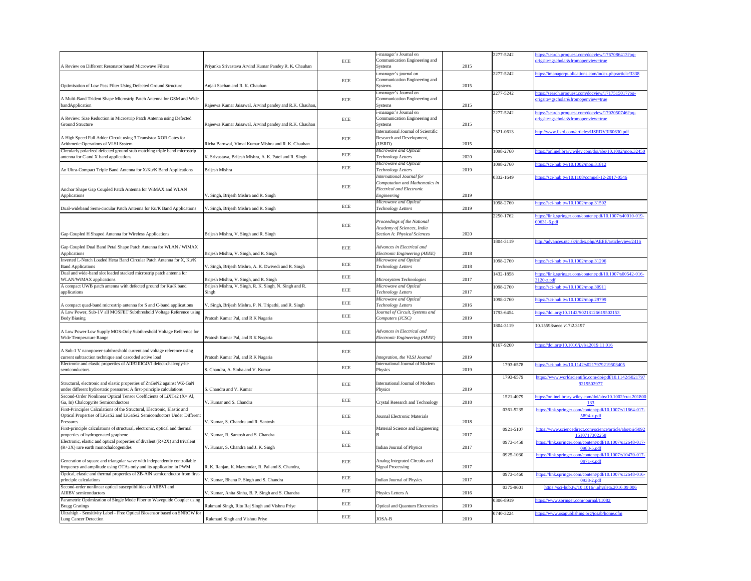| 2277-5242<br>https://search.proquest.com/docview/1767086413?pq-<br>origsite=gscholar&fromopenview=true<br>2277-5242<br>https://imanagerpublications.com/index.php/article/3338<br>https://search.proquest.com/docview/1717515017?pq-<br>2277-5242<br>origsite=gscholar&fromopenview=true<br>2277-5242<br>https://search.proquest.com/docview/1702050746?pq-<br>origsite=gscholar&fromopenview=true<br>2321-0613<br>http://www.ijsrd.com/articles/IJSRDV3I60630.pdf<br>1098-2760<br>https://sci-hub.tw/10.1002/mop.31812<br>1098-2760<br>0332-1649<br>https://sci-hub.tw/10.1108/compel-12-2017-0546<br>1098-2760<br>https://sci-hub.tw/10.1002/mop.31592<br>https://link.springer.com/content/pdf/10.1007/s40010-019-<br>2250-1762<br>00631-6.pdf<br>1804-3119<br>http://advances.utc.sk/index.php/AEEE/article/view/2416<br>1098-2760<br>https://sci-hub.tw/10.1002/mop.31296<br>https://link.springer.com/content/pdf/10.1007/s00542-016-<br>1432-1858<br>3120-z.pdf<br>https://sci-hub.tw/10.1002/mop.30911<br>1098-2760<br>1098-2760<br>https://sci-hub.tw/10.1002/mop.29799<br>https://doi.org/10.1142/S0218126619502153<br>1793-6454<br>1804-3119<br>10.15598/aeee.v17i2.3197<br>https://doi.org/10.1016/j.vlsi.2019.11.016<br>0167-9260<br>1793-6578<br>https://sci-hub.tw/10.1142/s0217979219503405<br>1793-6579<br>9219502977<br>1521-4079<br>133<br>https://link.springer.com/content/pdf/10.1007/s11664-017-<br>0361-5235<br>5894-x.pdf<br>https://www.sciencedirect.com/science/article/abs/pii/S092<br>0921-5107<br>1510717302258<br>https://link.springer.com/content/pdf/10.1007/s12648-017-<br>0973-1458<br>0983-5.pdf<br>0925-1030<br>https://link.springer.com/content/pdf/10.1007/s10470-017-<br>$0971-x.pdf$<br>https://link.springer.com/content/pdf/10.1007/s12648-016-<br>0973-1460<br>0938-2.pdf<br>https://sci-hub.tw/10.1016/j.physleta.2016.09.006<br>0375-9601<br>0306-8919<br>https://www.springer.com/journal/11082<br>https://www.osapublishing.org/josab/home.cfm<br>0740-3224 |                                                             |
|----------------------------------------------------------------------------------------------------------------------------------------------------------------------------------------------------------------------------------------------------------------------------------------------------------------------------------------------------------------------------------------------------------------------------------------------------------------------------------------------------------------------------------------------------------------------------------------------------------------------------------------------------------------------------------------------------------------------------------------------------------------------------------------------------------------------------------------------------------------------------------------------------------------------------------------------------------------------------------------------------------------------------------------------------------------------------------------------------------------------------------------------------------------------------------------------------------------------------------------------------------------------------------------------------------------------------------------------------------------------------------------------------------------------------------------------------------------------------------------------------------------------------------------------------------------------------------------------------------------------------------------------------------------------------------------------------------------------------------------------------------------------------------------------------------------------------------------------------------------------------------------------------------------------------------------------------------------------------------------------------------------|-------------------------------------------------------------|
|                                                                                                                                                                                                                                                                                                                                                                                                                                                                                                                                                                                                                                                                                                                                                                                                                                                                                                                                                                                                                                                                                                                                                                                                                                                                                                                                                                                                                                                                                                                                                                                                                                                                                                                                                                                                                                                                                                                                                                                                                |                                                             |
|                                                                                                                                                                                                                                                                                                                                                                                                                                                                                                                                                                                                                                                                                                                                                                                                                                                                                                                                                                                                                                                                                                                                                                                                                                                                                                                                                                                                                                                                                                                                                                                                                                                                                                                                                                                                                                                                                                                                                                                                                |                                                             |
|                                                                                                                                                                                                                                                                                                                                                                                                                                                                                                                                                                                                                                                                                                                                                                                                                                                                                                                                                                                                                                                                                                                                                                                                                                                                                                                                                                                                                                                                                                                                                                                                                                                                                                                                                                                                                                                                                                                                                                                                                |                                                             |
|                                                                                                                                                                                                                                                                                                                                                                                                                                                                                                                                                                                                                                                                                                                                                                                                                                                                                                                                                                                                                                                                                                                                                                                                                                                                                                                                                                                                                                                                                                                                                                                                                                                                                                                                                                                                                                                                                                                                                                                                                |                                                             |
|                                                                                                                                                                                                                                                                                                                                                                                                                                                                                                                                                                                                                                                                                                                                                                                                                                                                                                                                                                                                                                                                                                                                                                                                                                                                                                                                                                                                                                                                                                                                                                                                                                                                                                                                                                                                                                                                                                                                                                                                                |                                                             |
|                                                                                                                                                                                                                                                                                                                                                                                                                                                                                                                                                                                                                                                                                                                                                                                                                                                                                                                                                                                                                                                                                                                                                                                                                                                                                                                                                                                                                                                                                                                                                                                                                                                                                                                                                                                                                                                                                                                                                                                                                | https://onlinelibrary.wiley.com/doi/abs/10.1002/mop.32450   |
|                                                                                                                                                                                                                                                                                                                                                                                                                                                                                                                                                                                                                                                                                                                                                                                                                                                                                                                                                                                                                                                                                                                                                                                                                                                                                                                                                                                                                                                                                                                                                                                                                                                                                                                                                                                                                                                                                                                                                                                                                |                                                             |
|                                                                                                                                                                                                                                                                                                                                                                                                                                                                                                                                                                                                                                                                                                                                                                                                                                                                                                                                                                                                                                                                                                                                                                                                                                                                                                                                                                                                                                                                                                                                                                                                                                                                                                                                                                                                                                                                                                                                                                                                                |                                                             |
|                                                                                                                                                                                                                                                                                                                                                                                                                                                                                                                                                                                                                                                                                                                                                                                                                                                                                                                                                                                                                                                                                                                                                                                                                                                                                                                                                                                                                                                                                                                                                                                                                                                                                                                                                                                                                                                                                                                                                                                                                |                                                             |
|                                                                                                                                                                                                                                                                                                                                                                                                                                                                                                                                                                                                                                                                                                                                                                                                                                                                                                                                                                                                                                                                                                                                                                                                                                                                                                                                                                                                                                                                                                                                                                                                                                                                                                                                                                                                                                                                                                                                                                                                                |                                                             |
|                                                                                                                                                                                                                                                                                                                                                                                                                                                                                                                                                                                                                                                                                                                                                                                                                                                                                                                                                                                                                                                                                                                                                                                                                                                                                                                                                                                                                                                                                                                                                                                                                                                                                                                                                                                                                                                                                                                                                                                                                |                                                             |
|                                                                                                                                                                                                                                                                                                                                                                                                                                                                                                                                                                                                                                                                                                                                                                                                                                                                                                                                                                                                                                                                                                                                                                                                                                                                                                                                                                                                                                                                                                                                                                                                                                                                                                                                                                                                                                                                                                                                                                                                                |                                                             |
|                                                                                                                                                                                                                                                                                                                                                                                                                                                                                                                                                                                                                                                                                                                                                                                                                                                                                                                                                                                                                                                                                                                                                                                                                                                                                                                                                                                                                                                                                                                                                                                                                                                                                                                                                                                                                                                                                                                                                                                                                |                                                             |
|                                                                                                                                                                                                                                                                                                                                                                                                                                                                                                                                                                                                                                                                                                                                                                                                                                                                                                                                                                                                                                                                                                                                                                                                                                                                                                                                                                                                                                                                                                                                                                                                                                                                                                                                                                                                                                                                                                                                                                                                                |                                                             |
|                                                                                                                                                                                                                                                                                                                                                                                                                                                                                                                                                                                                                                                                                                                                                                                                                                                                                                                                                                                                                                                                                                                                                                                                                                                                                                                                                                                                                                                                                                                                                                                                                                                                                                                                                                                                                                                                                                                                                                                                                |                                                             |
|                                                                                                                                                                                                                                                                                                                                                                                                                                                                                                                                                                                                                                                                                                                                                                                                                                                                                                                                                                                                                                                                                                                                                                                                                                                                                                                                                                                                                                                                                                                                                                                                                                                                                                                                                                                                                                                                                                                                                                                                                |                                                             |
|                                                                                                                                                                                                                                                                                                                                                                                                                                                                                                                                                                                                                                                                                                                                                                                                                                                                                                                                                                                                                                                                                                                                                                                                                                                                                                                                                                                                                                                                                                                                                                                                                                                                                                                                                                                                                                                                                                                                                                                                                |                                                             |
|                                                                                                                                                                                                                                                                                                                                                                                                                                                                                                                                                                                                                                                                                                                                                                                                                                                                                                                                                                                                                                                                                                                                                                                                                                                                                                                                                                                                                                                                                                                                                                                                                                                                                                                                                                                                                                                                                                                                                                                                                |                                                             |
|                                                                                                                                                                                                                                                                                                                                                                                                                                                                                                                                                                                                                                                                                                                                                                                                                                                                                                                                                                                                                                                                                                                                                                                                                                                                                                                                                                                                                                                                                                                                                                                                                                                                                                                                                                                                                                                                                                                                                                                                                |                                                             |
|                                                                                                                                                                                                                                                                                                                                                                                                                                                                                                                                                                                                                                                                                                                                                                                                                                                                                                                                                                                                                                                                                                                                                                                                                                                                                                                                                                                                                                                                                                                                                                                                                                                                                                                                                                                                                                                                                                                                                                                                                | https://www.worldscientific.com/doi/pdf/10.1142/S021797     |
|                                                                                                                                                                                                                                                                                                                                                                                                                                                                                                                                                                                                                                                                                                                                                                                                                                                                                                                                                                                                                                                                                                                                                                                                                                                                                                                                                                                                                                                                                                                                                                                                                                                                                                                                                                                                                                                                                                                                                                                                                | https://onlinelibrary.wiley.com/doi/abs/10.1002/crat.201800 |
|                                                                                                                                                                                                                                                                                                                                                                                                                                                                                                                                                                                                                                                                                                                                                                                                                                                                                                                                                                                                                                                                                                                                                                                                                                                                                                                                                                                                                                                                                                                                                                                                                                                                                                                                                                                                                                                                                                                                                                                                                |                                                             |
|                                                                                                                                                                                                                                                                                                                                                                                                                                                                                                                                                                                                                                                                                                                                                                                                                                                                                                                                                                                                                                                                                                                                                                                                                                                                                                                                                                                                                                                                                                                                                                                                                                                                                                                                                                                                                                                                                                                                                                                                                |                                                             |
|                                                                                                                                                                                                                                                                                                                                                                                                                                                                                                                                                                                                                                                                                                                                                                                                                                                                                                                                                                                                                                                                                                                                                                                                                                                                                                                                                                                                                                                                                                                                                                                                                                                                                                                                                                                                                                                                                                                                                                                                                |                                                             |
|                                                                                                                                                                                                                                                                                                                                                                                                                                                                                                                                                                                                                                                                                                                                                                                                                                                                                                                                                                                                                                                                                                                                                                                                                                                                                                                                                                                                                                                                                                                                                                                                                                                                                                                                                                                                                                                                                                                                                                                                                |                                                             |
|                                                                                                                                                                                                                                                                                                                                                                                                                                                                                                                                                                                                                                                                                                                                                                                                                                                                                                                                                                                                                                                                                                                                                                                                                                                                                                                                                                                                                                                                                                                                                                                                                                                                                                                                                                                                                                                                                                                                                                                                                |                                                             |
|                                                                                                                                                                                                                                                                                                                                                                                                                                                                                                                                                                                                                                                                                                                                                                                                                                                                                                                                                                                                                                                                                                                                                                                                                                                                                                                                                                                                                                                                                                                                                                                                                                                                                                                                                                                                                                                                                                                                                                                                                |                                                             |
|                                                                                                                                                                                                                                                                                                                                                                                                                                                                                                                                                                                                                                                                                                                                                                                                                                                                                                                                                                                                                                                                                                                                                                                                                                                                                                                                                                                                                                                                                                                                                                                                                                                                                                                                                                                                                                                                                                                                                                                                                |                                                             |
|                                                                                                                                                                                                                                                                                                                                                                                                                                                                                                                                                                                                                                                                                                                                                                                                                                                                                                                                                                                                                                                                                                                                                                                                                                                                                                                                                                                                                                                                                                                                                                                                                                                                                                                                                                                                                                                                                                                                                                                                                |                                                             |

|                                                                               |                                                         |           | i-manager's Journal on                 |      | 2277-5242     | ttps://search.proquest.c                    |
|-------------------------------------------------------------------------------|---------------------------------------------------------|-----------|----------------------------------------|------|---------------|---------------------------------------------|
|                                                                               |                                                         | ECE       | Communication Engineering and          |      |               | prigsite=gscholar&frome                     |
| A Review on Different Resonator based Microwave Filters                       | Priyanka Srivastava Arvind Kumar Pandey R. K. Chauhan   |           | Systems                                | 2015 |               |                                             |
|                                                                               |                                                         |           | i-manager's journal on                 |      | 2277-5242     | https://imanagerpublicat                    |
|                                                                               |                                                         | ECE       | Communication Engineering and          |      |               |                                             |
| Optimisation of Low Pass Filter Using Defected Ground Structure               | Anjali Sachan and R. K. Chauhan                         |           | Systems                                | 2015 |               |                                             |
|                                                                               |                                                         |           | i-manager's Journal on                 |      | 2277-5242     | nttps://search.proquest.c                   |
| A Multi-Band Trident Shape Microstrip Patch Antenna for GSM and Wide          |                                                         | ECE       | Communication Engineering and          |      |               | origsite=gscholar&frome                     |
| bandApplication                                                               | Rajeewa Kumar Jaisawal, Arvind pandey and R.K. Chauhan  |           | Systems                                | 2015 |               |                                             |
|                                                                               |                                                         |           | i-manager's Journal on                 |      | 2277-5242     | nttps://search.proquest.c                   |
| A Review: Size Reduction in Microstrip Patch Antenna using Defected           |                                                         | ECE       | Communication Engineering and          |      |               | prigsite=gscholar&frome                     |
| Ground Structure                                                              | Rajeewa Kumar Jaisawal, Arvind pandey and R.K. Chauhan  |           | Systems                                | 2015 |               |                                             |
|                                                                               |                                                         |           | International Journal of Scientific    |      | 2321-0613     |                                             |
| A High Speed Full Adder Circuit using 3 Transistor XOR Gates for              |                                                         |           | Research and Development,              |      |               | http://www.ijsrd.com/art                    |
|                                                                               | Richa Barnwal, Vimal Kumar Mishra and R. K. Chauhan     | ECE       |                                        |      |               |                                             |
| Arithmetic Operations of VLSI System                                          |                                                         |           | (IJSRD)                                | 2015 |               |                                             |
| Circularly polarized defected ground stub matching triple band microstrip     |                                                         | ECE       | Microwave and Optical                  |      | 1098-2760     | https://onlinelibrary.wile                  |
| antenna for C and X band applications                                         | K. Srivastava, Brijesh Mishra, A. K. Patel and R. Singh |           | <b>Technology Letters</b>              | 2020 |               |                                             |
|                                                                               |                                                         | $\rm ECE$ | Microwave and Optical                  |      | 1098-2760     | $\frac{8.1}{100}$ attps://sci-hub.tw/10.100 |
| An Ultra-Compact Triple Band Antenna for X/Ku/K Band Applications             | Brijesh Mishra                                          |           | Technology Letters                     | 2019 |               |                                             |
|                                                                               |                                                         |           | International Journal for              |      | 0332-1649     | $\frac{1}{10}$ attps://sci-hub.tw/10.110    |
|                                                                               |                                                         |           | Computation and Mathematics in         |      |               |                                             |
| Anchor Shape Gap Coupled Patch Antenna for WiMAX and WLAN                     |                                                         | ECE       | <b>Electrical and Electronic</b>       |      |               |                                             |
| <b>Applications</b>                                                           | V. Singh, Brijesh Mishra and R. Singh                   |           | Engineering                            | 2019 |               |                                             |
|                                                                               |                                                         |           | Microwave and Optical                  |      | 1098-2760     | https://sci-hub.tw/10.100                   |
| Dual-wideband Semi-circular Patch Antenna for Ku/K Band Applications          | V. Singh, Brijesh Mishra and R. Singh                   | ECE       | <b>Technology Letters</b>              | 2019 |               |                                             |
|                                                                               |                                                         |           |                                        |      |               |                                             |
|                                                                               |                                                         |           |                                        |      | 2250-1762     | nttps://link.springer.com                   |
|                                                                               |                                                         | ECE       | Proceedings of the National            |      |               | $0631 - 6.$ pdf                             |
|                                                                               |                                                         |           | Academy of Sciences, India             |      |               |                                             |
| Gap Coupled H Shaped Antenna for Wireless Applications                        | Brijesh Mishra, V. Singh and R. Singh                   |           | Section A: Physical Sciences           | 2020 |               |                                             |
|                                                                               |                                                         |           |                                        |      | 1804-3119     | http://advances.utc.sk/in                   |
| Gap Coupled Dual Band Petal Shape Patch Antenna for WLAN / WiMAX              |                                                         | ECE       | Advances in Electrical and             |      |               |                                             |
| Applications                                                                  | Brijesh Mishra, V. Singh, and R. Singh                  |           | Electronic Engineering (AEEE)          | 2018 |               |                                             |
| Inverted L-Notch Loaded Hexa Band Circular Patch Antenna for X, Ku/K          |                                                         |           | Microwave and Optical                  |      | 1098-2760     | https://sci-hub.tw/10.100                   |
| <b>Band Applications</b>                                                      | V. Singh, Brijesh Mishra, A. K. Dwivedi and R. Singh    | ECE       | <b>Technology Letters</b>              | 2018 |               |                                             |
| Dual and wide-band slot loaded stacked microstrip patch antenna for           |                                                         |           |                                        |      | 1432-1858     | ttps://link.springer.com                    |
| WLAN/WiMAX applications                                                       | Brijesh Mishra, V. Singh, and R. Singh                  | $\rm ECE$ | Microsystem Technologies               | 2017 |               | $3120-z.pdf$                                |
| A compact UWB patch antenna with defected ground for Ku/K band                | Brijesh Mishra, V. Singh, R. K. Singh, N. Singh and R.  |           | Microwave and Optical                  |      | 1098-2760     | https://sci-hub.tw/10.100                   |
|                                                                               |                                                         | ECE       |                                        | 2017 |               |                                             |
| applications                                                                  | Singh                                                   |           | Technology Letters                     |      |               |                                             |
|                                                                               |                                                         | ECE       | Microwave and Optical                  |      | 1098-2760     | ttps://sci-hub.tw/10.100                    |
| A compact quad-band microstrip antenna for S and C-band applications          | V. Singh, Brijesh Mishra, P. N. Tripathi, and R. Singh  |           | <b>Technology Letters</b>              | 2016 |               |                                             |
| A Low Power, Sub-1V all MOSFET Subthreshold Voltage Reference using           |                                                         | ECE       | Journal of Circuit, Systems and        |      | $1793 - 6454$ | https://doi.org/10.1142/                    |
| <b>Body Biasing</b>                                                           | Pratosh Kumar Pal, and R K Nagaria                      |           | Computers (JCSC)                       | 2019 |               |                                             |
|                                                                               |                                                         |           |                                        |      | 1804-3119     | 10.15598/aeee.v17i2.31                      |
| A Low Power Low Supply MOS-Only Subthreshold Voltage Reference for            |                                                         | ECE       | Advances in Electrical and             |      |               |                                             |
| <b>Wide Temperature Range</b>                                                 | Pratosh Kumar Pal, and R K Nagaria                      |           | Electronic Engineering (AEEE)          | 2019 |               |                                             |
|                                                                               |                                                         |           |                                        |      | 0167-9260     | https://doi.org/10.1016/j                   |
| A Sub-1 V nanopower subthreshold current and voltage reference using          |                                                         | $\rm ECE$ |                                        |      |               |                                             |
| current subtraction technique and cascoded active load                        | Pratosh Kumar Pal, and R K Nagaria                      |           | Integration, the VLSI Journal          | 2019 |               |                                             |
| Electronic and elastic properties of AIIB2IIIC4VI defect-chalcopyrite         |                                                         |           | International Journal of Modern        |      | 1793-6578     | https://sci-hub.tw/10.114                   |
| semiconductors                                                                | S. Chandra, A. Sinha and V. Kumar                       | ECE       | <b>Physics</b>                         | 2019 |               |                                             |
|                                                                               |                                                         |           |                                        |      |               |                                             |
| Structural, electronic and elastic properties of ZnGeN2 against WZ-GaN        |                                                         |           |                                        |      | 1793-6579     | https://www.worldscien                      |
|                                                                               |                                                         | ECE       | International Journal of Modern        |      |               |                                             |
| under different hydrostatic pressures: A first-principle calculations         | S. Chandra and V. Kumar                                 |           | Physics                                | 2019 |               |                                             |
| Second-Order Nonlinear Optical Tensor Coefficients of LiXTe2 (X= Al,          |                                                         | ECE       |                                        |      | 1521-4079     | nttps://onlinelibrary.wile                  |
| Ga, In) Chalcopyrite Semiconductors                                           | V. Kumar and S. Chandra                                 |           | Crystal Research and Technology        | 2018 |               |                                             |
| First-Principles Calculations of the Structural, Electronic, Elastic and      |                                                         |           |                                        |      | 0361-5235     | https://link.springer.com                   |
| Optical Properties of LiGaS2 and LiGaSe2 Semiconductors Under Different       |                                                         | ECE       | Journal Electronic Materials           |      |               |                                             |
| Pressures                                                                     | V. Kumar, S. Chandra and R. Santosh                     |           |                                        | 2018 |               |                                             |
| First-principle calculations of structural, electronic, optical and thermal   |                                                         |           | Material Science and Engineering       |      | 0921-5107     | https://www.sciencedire                     |
| properties of hydrogenated graphene                                           | V. Kumar, R. Santosh and S. Chandra                     | $\rm ECE$ |                                        | 2017 |               | <u> 15</u>                                  |
| Electronic, elastic and optical properties of divalent $(R+2X)$ and trivalent |                                                         |           |                                        |      | 0973-1458     | https://link.springer.con                   |
| (R+3X) rare earth monochalcogenides                                           | V. Kumar, S. Chandra and J. K. Singh                    | ECE       | Indian Journal of Physics              | 2017 |               |                                             |
|                                                                               |                                                         |           |                                        |      |               |                                             |
|                                                                               |                                                         |           |                                        |      | 0925-1030     | https://link.springer.con                   |
| Generation of square and triangular wave with independently controllable      |                                                         | ECE       | Analog Integrated Circuits and         |      |               |                                             |
| frequency and amplitude using OTAs only and its application in PWM            | R. K. Ranjan, K. Mazumdar, R. Pal and S. Chandra,       |           | <b>Signal Processing</b>               | 2017 |               |                                             |
| Optical, elastic and thermal properties of ZB-AlN semiconductor from first-   |                                                         | ECE       |                                        |      | 0973-1460     | https://link.springer.con                   |
| principle calculations                                                        | V. Kumar, Bhanu P. Singh and S. Chandra                 |           | <b>Indian Journal of Physics</b>       | 2017 |               |                                             |
| Second-order nonlinear optical susceptibilities of AIIBVI and                 |                                                         |           |                                        |      | 0375-9601     | https://sci-hub.tw/1                        |
| AIIIBV semiconductors                                                         | V. Kumar, Anita Sinha, B. P. Singh and S. Chandra       | ECE       | Physics Letters A                      | 2016 |               |                                             |
| Parametric Optimization of Single Mode Fiber to Waveguide Coupler using       |                                                         |           |                                        |      | 0306-8919     | nttps://www.springer.com                    |
| <b>Bragg Gratings</b>                                                         | Rukmani Singh, Ritu Raj Singh and Vishnu Priye          | ECE       | <b>Optical and Quantum Electronics</b> | 2019 |               |                                             |
| Ultrahigh - Sensitivity Label - Free Optical Biosensor based on SNROW for     |                                                         |           |                                        |      | 0740-3224     | ttps://www.osapublishi                      |
| <b>Lung Cancer Detection</b>                                                  | Rukmani Singh and Vishnu Priye                          | ECE       | JOSA-B                                 | 2019 |               |                                             |
|                                                                               |                                                         |           |                                        |      |               |                                             |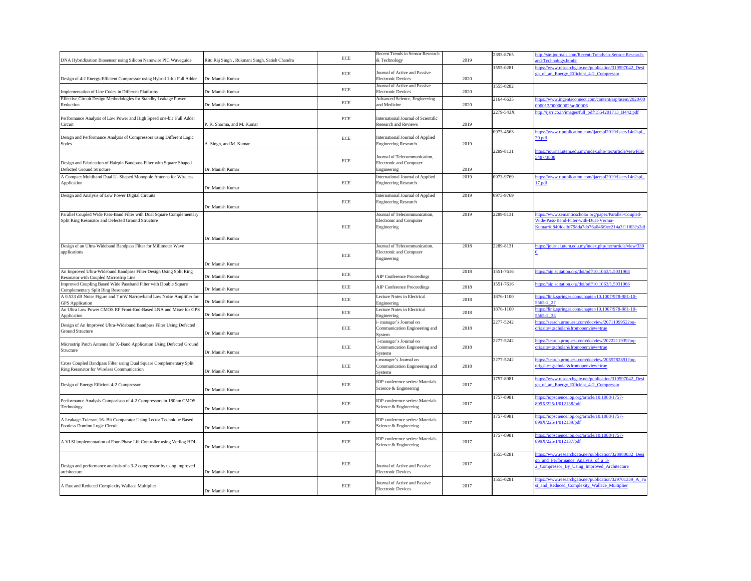| DNA Hybridization Biosensor using Silicon Nanowire PIC Waveguide                                                            | Ritu Raj Singh, Rukmani Singh, Satish Chandra | ECE         | Recent Trends in Sensor Research<br>& Technology                               | 2019 | 2393-8765 |
|-----------------------------------------------------------------------------------------------------------------------------|-----------------------------------------------|-------------|--------------------------------------------------------------------------------|------|-----------|
| Design of 4:2 Energy-Efficient Compressor using Hybrid 1-bit Full Adder                                                     | Dr. Manish Kumar                              | ECE         | Journal of Active and Passive<br><b>Electronic Devices</b>                     | 2020 | 1555-0281 |
| Implementation of Line Codes in Different Platforms                                                                         | Dr. Manish Kumar                              | ECE         | Journal of Active and Passive<br><b>Electronic Devices</b>                     | 2020 | 1555-0282 |
| Effective Circuit Design Methodologies for Standby Leakage Power                                                            |                                               | ECE         | Advanced Science, Engineering                                                  |      | 2164-6635 |
| Reduction                                                                                                                   | Dr. Manish Kumar                              |             | and Medicine                                                                   | 2020 | 2279-543X |
| Performance Analysis of Low Power and High Speed one-bit Full Adder<br>Circuit                                              | P. K. Sharma, and M. Kumar                    | ECE         | International Journal of Scientific<br><b>Research and Reviews</b>             | 2019 |           |
| Design and Performance Analysis of Compressors using Different Logic<br><b>Styles</b>                                       | A. Singh, and M. Kumar                        | ECE         | International Journal of Applied<br><b>Engineering Research</b>                | 2019 | 0973-4563 |
| Design and Fabrication of Hairpin Bandpass Filter with Square Shaped<br>Defected Ground Structure                           | Dr. Manish Kumar                              | ECE         | Journal of Telecommunication,<br>Electronic and Computer<br>Engineering        | 2019 | 2289-8131 |
| A Compact Multiband Dual U- Shaped Monopole Antenna for Wireless<br>Application                                             | Dr. Manish Kumar                              | ECE         | International Journal of Applied<br><b>Engineering Research</b>                | 2019 | 0973-9769 |
| Design and Analysis of Low Power Digital Circuits                                                                           | Dr. Manish Kumar                              | ${\rm ECE}$ | International Journal of Applied<br><b>Engineering Research</b>                | 2019 | 0973-9769 |
| Parallel Coupled Wide Pass-Band Filter with Dual Square Complementary<br>Split Ring Resonator and Defected Ground Structure | Dr. Manish Kumar                              | ECE         | Journal of Telecommunication,<br><b>Electronic and Computer</b><br>Engineering | 2019 | 2289-8131 |
| Design of an Ultra-Wideband Bandpass Filter for Millimeter Wave<br>applications                                             | Dr. Manish Kumar                              | ECE         | Journal of Telecommunication,<br><b>Electronic and Computer</b><br>Engineering | 2018 | 2289-8131 |
| An Improved Ultra-Wideband Bandpass Filter Design Using Split Ring<br>Resonator with Coupled Microstrip Line                | Dr. Manish Kumar                              | ECE         | <b>AIP Conference Proceedings</b>                                              | 2018 | 1551-7616 |
| Improved Coupling Based Wide Passband Filter with Double Square<br>Complementary Split Ring Resonator                       | Dr. Manish Kumar                              | ECE         | <b>AIP Conference Proceedings</b>                                              | 2018 | 1551-7616 |
| A 0.533 dB Noise Figure and 7 mW Narrowband Low Noise Amplifier for<br><b>GPS</b> Application                               | Dr. Manish Kumar                              | ECE         | Lecture Notes in Electrical<br>Engineering                                     | 2018 | 1876-1100 |
| An Ultra Low Power CMOS RF Front-End-Based LNA and Mixer for GPS<br>Application                                             | Dr. Manish Kumar                              | ECE         | Lecture Notes in Electrical<br>Engineering                                     | 2018 | 1876-1100 |
| Design of An Improved Ultra-Wideband Bandpass Filter Using Defected<br><b>Ground Structure</b>                              | Dr. Manish Kumar                              | ECE         | i- manager's Journal on<br>Communication Engineering and<br>System             | 2018 | 2277-5242 |
| Microstrip Patch Antenna for X-Band Application Using Defected Ground<br>Structure                                          | Dr. Manish Kumar                              | ECE         | i-manager's Journal on<br>Communication Engineering and<br><b>Systems</b>      | 2018 | 2277-5242 |
| Cross Coupled Bandpass Filter using Dual Square Complementary Split<br>Ring Resonator for Wireless Communication            | Dr. Manish Kumar                              | ECE         | i-manager's Journal on<br>Communication Engineering and<br>Systems             | 2018 | 2277-5242 |
| Design of Energy Efficient 4-2 Compressor                                                                                   | Dr. Manish Kumar                              | ECE         | <b>IOP</b> conference series: Materials<br>Science & Engineering               | 2017 | 1757-8981 |
| Performance Analysis Comparison of 4-2 Compressors in 180nm CMOS<br>Technology                                              | Dr. Manish Kumar                              | ECE         | <b>IOP</b> conference series: Materials<br>Science & Engineering               | 2017 | 1757-8981 |
| A Leakage-Tolerant 16- Bit Comparator Using Lector Technique Based<br>Footless Domino Logic Circuit                         | Dr. Manish Kumar                              | ECE         | IOP conference series: Materials<br>Science & Engineering                      | 2017 | 1757-8981 |
| A VLSI implementation of Four-Phase Lift Controller using Verilog HDL                                                       | Dr. Manish Kumar                              | ${\rm ECE}$ | IOP conference series: Materials<br>Science & Engineering                      | 2017 | 1757-8981 |
| Design and performance analysis of a 3-2 compressor by using improved                                                       |                                               | ECE         | Journal of Active and Passive                                                  | 2017 | 1555-0281 |
| architecture                                                                                                                | Dr. Manish Kumar                              |             | <b>Electronic Devices</b>                                                      |      |           |
| A Fast and Reduced Complexity Wallace Multiplier                                                                            | Dr. Manish Kumar                              | $\rm ECE$   | Journal of Active and Passive<br><b>Electronic Devices</b>                     | 2017 | 1555-0281 |

| 2019 | 2393-8765 | http://stmjournals.com/Recent-Trends-in-Sensor-Research-<br>and-Technology.html# |
|------|-----------|----------------------------------------------------------------------------------|
|      | 1555-0281 | https://www.researchgate.net/publication/319597042_Desi                          |
|      |           | gn of an Energy Efficient 4-2 Compressor                                         |
| 2020 |           |                                                                                  |
| 2020 | 1555-0282 |                                                                                  |
|      | 2164-6635 | https://www.ingentaconnect.com/content/asp/asem/2020/00                          |
| 2020 |           | 000012/00000002/art00006                                                         |
|      | 2279-543X | http://ijsrr.co.in/images/full_pdf/1554201713_B442.pdf                           |
|      |           |                                                                                  |
| 2019 |           |                                                                                  |
|      | 0973-4563 | https://www.ripublication.com/ijaerspl2019/ijaerv14n2spl                         |
|      |           | 20.pdf                                                                           |
| 2019 |           |                                                                                  |
|      | 2289-8131 | https://journal.utem.edu.my/index.php/jtec/article/viewFile/                     |
|      |           | 5487/3838                                                                        |
| 2019 |           |                                                                                  |
| 2019 | 0973-9769 | https://www.ripublication.com/ijaerspl2019/ijaerv14n2spl                         |
|      |           | <u>17.pdf</u>                                                                    |
|      |           |                                                                                  |
| 2019 | 0973-9769 |                                                                                  |
|      |           |                                                                                  |
|      |           |                                                                                  |
| 2019 | 2289-8131 | https://www.semanticscholar.org/paper/Parallel-Coupled-                          |
|      |           | Wide-Pass-Band-Filter-with-Dual-Verma-                                           |
|      |           | Kumar/fd840fdefbf798da7db76a046f9ec214a3f11f63?p2df                              |
|      |           |                                                                                  |
|      |           |                                                                                  |
| 2018 | 2289-8131 | https://journal.utem.edu.my/index.php/jtec/article/view/330                      |
|      |           | 0                                                                                |
|      |           |                                                                                  |
| 2018 | 1551-7616 | https://aip.scitation.org/doi/pdf/10.1063/1.5031968                              |
|      |           |                                                                                  |
|      | 1551-7616 | https://aip.scitation.org/doi/pdf/10.1063/1.5031966                              |
| 2018 |           |                                                                                  |
|      | 1876-1100 | https://link.springer.com/chapter/10.1007/978-981-10-                            |
| 2018 |           | 5565-2 27                                                                        |
| 2018 | 1876-1100 | https://link.springer.com/chapter/10.1007/978-981-10-                            |
|      |           | 5565-2_33                                                                        |
|      | 2277-5242 | https://search.proquest.com/docview/2071109952?pq-                               |
| 2018 |           | origsite=gscholar&fromopenview=true                                              |
|      | 2277-5242 | https://search.proquest.com/docview/2022211939?pq-                               |
| 2018 |           | origsite=gscholar&fromopenview=true                                              |
|      |           |                                                                                  |
|      | 2277-5242 | https://search.proquest.com/docview/2055782891?pq-                               |
| 2018 |           | origsite=gscholar&fromopenview=true                                              |
|      |           |                                                                                  |
|      | 1757-8981 | https://www.researchgate.net/publication/319597042 Desi                          |
| 2017 |           | gn of an Energy Efficient 4-2 Compressor                                         |
|      |           |                                                                                  |
|      | 1757-8981 | https://iopscience.iop.org/article/10.1088/1757-                                 |
| 2017 |           | 899X/225/1/012138/pdf                                                            |
|      | 1757-8981 | https://iopscience.iop.org/article/10.1088/1757-                                 |
| 2017 |           | 899X/225/1/012139/pdf                                                            |
|      |           |                                                                                  |
|      | 1757-8981 | https://iopscience.iop.org/article/10.1088/1757-                                 |
| 2017 |           | 899X/225/1/012137/pdf                                                            |
|      |           |                                                                                  |
|      | 1555-0281 | https://www.researchgate.net/publication/328980032 Desi                          |
| 2017 |           | gn_and_Performance_Analysis_of_a_3-                                              |
|      |           | 2_Compressor_By_Using_Improved_Architecture                                      |
|      |           |                                                                                  |
|      | 1555-0281 | https://www.researchgate.net/publication/329701359_A_Fa                          |
| 2017 |           | st_and_Reduced_Complexity_Wallace_Multiplier                                     |
|      |           |                                                                                  |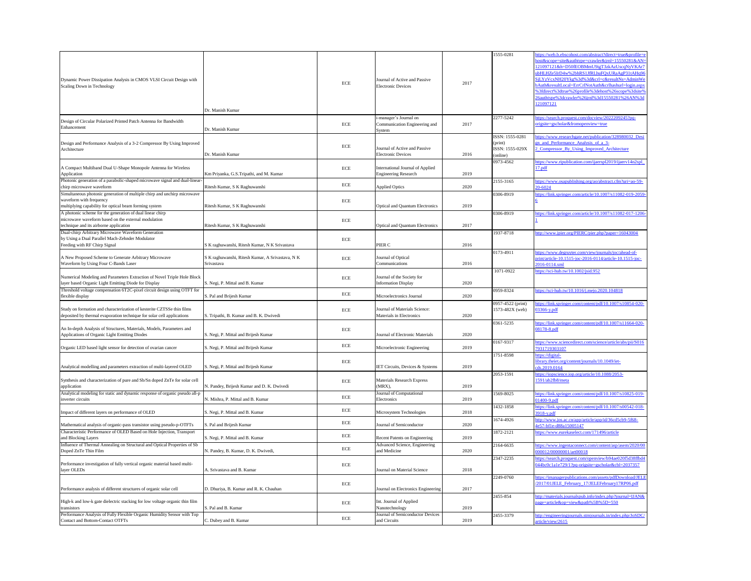| 1555-0281             | https://web.b.ebscohost.com/abstract?direct=true&profile=e                                                        |
|-----------------------|-------------------------------------------------------------------------------------------------------------------|
|                       | host&scope=site&authtype=crawler&jrnl=15550281&AN=                                                                |
|                       | 121097121&h=D50fEOBMmU9igT3zkAzUscqNyVKAr7<br>ubHLHZe5IrD4w%2bhRS1JfRLhuFOxURaAgP31tAHq96                         |
|                       | SiLYzVcxNH20Ykg%3d%3d&crl=c&resultNs=AdminWe                                                                      |
|                       | bAuth&resultLocal=ErrCrlNotAuth&crlhashurl=login.aspx                                                             |
|                       | %3fdirect%3dtrue%26profile%3dehost%26scope%3dsite%                                                                |
|                       | 26authtype%3dcrawler%26jrnl%3d15550281%26AN%3d                                                                    |
|                       | 121097121                                                                                                         |
| 2277-5242             | https://search.proquest.com/docview/2022209245?pq-                                                                |
|                       | origsite=gscholar&fromopenview=true                                                                               |
|                       |                                                                                                                   |
| ISSN: 1555-0281       | https://www.researchgate.net/publication/328980032_Desi                                                           |
| (print)               | gn_and_Performance_Analysis_of_a_3-                                                                               |
| ISSN: 1555-029X       | 2_Compressor_By_Using_Improved_Architecture                                                                       |
| (online)<br>0973-4562 | https://www.ripublication.com/ijaerspl2019/ijaerv14n2spl                                                          |
|                       | 17.pdf                                                                                                            |
|                       |                                                                                                                   |
| 2155-3165             | https://www.osapublishing.org/ao/abstract.cfm?uri=ao-59-                                                          |
|                       | 20-6024                                                                                                           |
| 0306-8919             | https://link.springer.com/article/10.1007/s11082-019-2059-                                                        |
|                       | 6                                                                                                                 |
| 0306-8919             | https://link.springer.com/article/10.1007/s11082-017-1206-                                                        |
|                       | 1                                                                                                                 |
|                       |                                                                                                                   |
| 1937-8718             | http://www.jpier.org/PIERC/pier.php?paper=16043004                                                                |
|                       |                                                                                                                   |
|                       |                                                                                                                   |
| 0173-4911             | https://www.degruyter.com/view/journals/joc/ahead-of-<br>print/article-10.1515-joc-2016-0114/article-10.1515-joc- |
|                       | 2016-0114.xml                                                                                                     |
| 1071-0922             | https://sci-hub.tw/10.1002/jsid.952                                                                               |
|                       |                                                                                                                   |
|                       |                                                                                                                   |
| 0959-8324             | https://sci-hub.tw/10.1016/j.mejo.2020.104818                                                                     |
| 0957-4522 (print)     | https://link.springer.com/content/pdf/10.1007/s10854-020-                                                         |
| 1573-482X (web)       | 03366-y.pdf                                                                                                       |
|                       |                                                                                                                   |
| 0361-5235             | https://link.springer.com/content/pdf/10.1007/s11664-020-                                                         |
|                       | <u>08178-8.pdf</u>                                                                                                |
|                       |                                                                                                                   |
| 0167-9317             | https://www.sciencedirect.com/science/article/abs/pii/S016<br>7931719303107                                       |
| 1751-8598             | https://digital-                                                                                                  |
|                       | library.theiet.org/content/journals/10.1049/iet-                                                                  |
|                       | cds.2019.0164                                                                                                     |
| 2053-1591             | https://iopscience.iop.org/article/10.1088/2053-                                                                  |
|                       | 1591/ab2fb8/meta                                                                                                  |
|                       |                                                                                                                   |
| 1569-8025             | https://link.springer.com/content/pdf/10.1007/s10825-019-<br>$01400 - 9.$ pdf                                     |
| 1432-1858             | https://link.springer.com/content/pdf/10.1007/s00542-018-                                                         |
|                       | 3918-y.pdf                                                                                                        |
| 1674-4926             | http://www.jos.ac.cn/app/article/app/id/36cd5cb9-5f68-                                                            |
|                       | 4e57-bf1e-d88a15005147                                                                                            |
| 1872-2121             | https://www.eurekaselect.com/171496/article                                                                       |
|                       |                                                                                                                   |
| 2164-6635             | https://www.ingentaconnect.com/content/asp/asem/2020/00<br>000012/00000001/art00018                               |
| 2347-2235             | https://search.proquest.com/openview/b94ae020f5d38ffbd4                                                           |
|                       | 044bc0c1a1e729/1?pq-origsite=gscholar&cbl=2037357                                                                 |
|                       |                                                                                                                   |
| 2249-0760             | https://imanagerpublications.com/assets/pdfDownload/JELE                                                          |
|                       | /2017/01JELE February 17/JELEFebruary17RP06.pdf                                                                   |
| 2455-854              | http://materials.journalspub.info/index.php?journal=IJAN&                                                         |
|                       | page=article&op=view&path%5B%5D=550                                                                               |
|                       |                                                                                                                   |
| 2455-3379             | http://engineeringjournals.stmjournals.in/index.php/JoSDC/                                                        |
|                       | article/view/2615                                                                                                 |
|                       |                                                                                                                   |

| Dynamic Power Dissipation Analysis in CMOS VLSI Circuit Design with<br>Scaling Down in Technology                                                             | Dr. Manish Kumar                                               | $\rm ECE$  | Journal of Active and Passive<br><b>Electronic Devices</b>        | 2017 | 1555-0281                                                 | attps://web.b.ebscohost.com/abs<br>nost&scope=site&authtype=cray<br>121097121&h=D50fEOBMmU<br>ubHLHZe5IrD4w%2bhRS1JfRI<br>SjLYzVcxNH20Ykg%3d%3d&<br>bAuth&resultLocal=ErrCrlNotA<br>63fdirect%3dtrue%26profile%26<br>26authtype%3dcrawler%26jrnl9<br>121097121 |
|---------------------------------------------------------------------------------------------------------------------------------------------------------------|----------------------------------------------------------------|------------|-------------------------------------------------------------------|------|-----------------------------------------------------------|----------------------------------------------------------------------------------------------------------------------------------------------------------------------------------------------------------------------------------------------------------------|
| Design of Circular Polarized Printed Patch Antenna for Bandwidth<br>Enhancement                                                                               | Dr. Manish Kumar                                               | $\rm ECE$  | i-manager's Journal on<br>Communication Engineering and<br>System | 2017 | 2277-5242                                                 | nttps://search.proquest.com/doc<br><u>origsite=gscholar&amp;fromopenvie</u>                                                                                                                                                                                    |
| Design and Performance Analysis of a 3-2 Compressor By Using Improved<br>Architecture                                                                         | Dr. Manish Kumar                                               | $\rm ECE$  | Journal of Active and Passive<br><b>Electronic Devices</b>        | 2016 | ISSN: 1555-0281<br>(print)<br>ISSN: 1555-029X<br>(online) | nttps://www.researchgate.net/pu<br><u>en and Performance Analysis</u><br>2 Compressor By Using Impr                                                                                                                                                            |
| A Compact Multiband Dual U-Shape Monopole Antenna for Wireless<br>Application                                                                                 | Km Priyanka, G.S.Tripathi, and M. Kumar                        | $\rm ECE$  | International Journal of Applied<br><b>Engineering Research</b>   | 2019 | 0973-4562                                                 | https://www.ripublication.com/i<br>17.pdf                                                                                                                                                                                                                      |
| Photonic generation of a parabolic-shaped microwave signal and dual-linear-<br>chirp microwave waveform                                                       | Ritesh Kumar, S K Raghuwanshi                                  | ECE        | <b>Applied Optics</b>                                             | 2020 | 2155-3165                                                 | https://www.osapublishing.org/a<br>20-6024                                                                                                                                                                                                                     |
| Simultaneous photonic generation of multiple chirp and unchirp microwave<br>waveform with frequency<br>multiplying capability for optical beam forming system | Ritesh Kumar, S K Raghuwanshi                                  | $\rm ECE$  | <b>Optical and Quantum Electronics</b>                            | 2019 | 0306-8919                                                 | https://link.springer.com/article/                                                                                                                                                                                                                             |
| A photonic scheme for the generation of dual linear chirp<br>microwave waveform based on the external modulation<br>technique and its airborne application    | Ritesh Kumar, S K Raghuwanshi                                  | $\rm ECE$  | <b>Optical and Quantum Electronics</b>                            | 2017 | 0306-8919                                                 | https://link.springer.com/article/                                                                                                                                                                                                                             |
| Dual-chirp Arbitrary Microwave Waveform Generation<br>by Using a Dual Parallel Mach-Zehnder Modulator<br>Feeding with RF Chirp Signal                         | S K raghuwanshi, Ritesh Kumar, N K Srivastava                  | $\rm ECE$  | PIER C                                                            | 2016 | 1937-8718                                                 | nttp://www.jpier.org/PIERC/pie                                                                                                                                                                                                                                 |
| A New Proposed Scheme to Generate Arbitrary Microwave<br>Waveform by Using Four C-Bands Laser                                                                 | S K raghuwanshi, Ritesh Kumar, A Srivastava, N K<br>Srivastava | $\rm ECE$  | Journal of Optical<br>Communications                              | 2016 | 0173-4911                                                 | https://www.degruyter.com/view<br>print/article-10.1515-joc-2016-0<br>2016-0114.xml                                                                                                                                                                            |
| Numerical Modeling and Parameters Extraction of Novel Triple Hole Block<br>layer based Organic Light Emitting Diode for Display                               | S. Negi, P. Mittal and B. Kumar                                | $\rm ECE$  | Journal of the Society for<br><b>Information Display</b>          | 2020 | 1071-0922                                                 | https://sci-hub.tw/10.1002/jsid.9                                                                                                                                                                                                                              |
| Threshold voltage compensation 6T2C-pixel circuit design using OTFT for<br>flexible display                                                                   | S. Pal and Brijesh Kumar                                       | ECE        | Microelectronics Journal                                          | 2020 | 0959-8324                                                 | https://sci-hub.tw/10.1016/i.mei                                                                                                                                                                                                                               |
| Study on formation and characterization of kesterite CZTSSe thin films<br>deposited by thermal evaporation technique for solar cell applications              | S. Tripathi, B. Kumar and B. K. Dwivedi                        | ECE        | Journal of Materials Science:<br>Materials in Electronics         | 2020 | 0957-4522 (print)<br>1573-482X (web)                      | https://link.springer.com/content<br>$03366$ -y.pdf                                                                                                                                                                                                            |
| An In-depth Analysis of Structures, Materials, Models, Parameters and<br>Applications of Organic Light Emitting Diodes                                        | S. Negi, P. Mittal and Brijesh Kumar                           | $\rm ECE$  | Journal of Electronic Materials                                   | 2020 | 0361-5235                                                 | https://link.springer.com/content<br>08178-8.pdf                                                                                                                                                                                                               |
| Organic LED based light sensor for detection of ovarian cancer                                                                                                | S. Negi, P. Mittal and Brijesh Kumar                           | $\rm ECE$  | Microelectronic Engineering                                       | 2019 | 0167-9317                                                 | attps://www.sciencedirect.com/s<br>7931719303107                                                                                                                                                                                                               |
| Analytical modelling and parameters extraction of multi-layered OLED                                                                                          | S. Negi, P. Mittal and Brijesh Kumar                           | ECE        | IET Circuits, Devices & Systems                                   | 2019 | 1751-8598                                                 | https://digital-<br>library.theiet.org/content/journal<br>cds.2019.0164                                                                                                                                                                                        |
| Synthesis and characterization of pure and Sb/Sn doped ZnTe for solar cell<br>application                                                                     | N. Pandey, Brijesh Kumar and D. K. Dwivedi                     | $\rm ECE$  | <b>Materials Research Express</b><br>(MRX),                       | 2019 | 2053-1591                                                 | https://iopscience.jop.org/article<br>1591/ab2fb8/meta                                                                                                                                                                                                         |
| Analytical modeling for static and dynamic response of organic pseudo all-p<br>inverter circuits                                                              | N. Mishra, P. Mittal and B. Kumar                              | $\rm ECE$  | Journal of Computational<br>Electronics                           | 2019 | 1569-8025                                                 | nttps://link.springer.com/content<br>01400-9.pdf                                                                                                                                                                                                               |
| Impact of different layers on performance of OLED                                                                                                             | S. Negi, P. Mittal and B. Kumar                                | ECE        | Microsystem Technologies                                          | 2018 | 1432-1858                                                 | https://link.springer.com/content<br>3918-y.pdf                                                                                                                                                                                                                |
| Mathematical analysis of organic-pass transistor using pseudo-p-OTFTs                                                                                         | S. Pal and Brijesh Kumar                                       | $\rm ECE$  | Journal of Semiconductor                                          | 2020 | 1674-4926                                                 | nttp://www.jos.ac.cn/app/article/<br>4e57-bf1e-d88a15005147                                                                                                                                                                                                    |
| Characteristic Performance of OLED Based on Hole Injection, Transport<br>and Blocking Layers                                                                  | S. Negi, P. Mittal and B. Kumar                                | <b>ECE</b> | <b>Recent Patents on Engineering</b>                              | 2019 | 1872-2121                                                 | https://www.eurekaselect.com/1                                                                                                                                                                                                                                 |
| Influence of Thermal Annealing on Structural and Optical Properties of Sb<br>Doped ZnTe Thin Film                                                             | N. Pandey, B. Kumar, D. K. Dwivedi,                            | ECE        | Advanced Science, Engineering<br>and Medicine                     | 2020 | 2164-6635                                                 | attps://www.ingentaconnect.com<br>000012/00000001/art00018                                                                                                                                                                                                     |
| Performance investigation of fully vertical organic material based multi-<br>layer OLEDs                                                                      | A. Srivastava and B. Kumar                                     | $\rm ECE$  | Journal on Material Science                                       | 2018 | 2347-2235                                                 | https://search.proquest.com/oper<br>044bc0c1a1e729/1?pq-origsite=                                                                                                                                                                                              |
| Performance analysis of different structures of organic solar cell                                                                                            | D. Dhuriya, B. Kumar and R. K. Chauhan                         | ECE        | Journal on Electronics Engineering                                | 2017 | 2249-0760                                                 | ttps://imanagerpublications.cor<br>2017/01JELE February 17/JE                                                                                                                                                                                                  |
| High-k and low-k gate dielectric stacking for low voltage organic thin film<br>transistors                                                                    | S. Pal and B. Kumar                                            | $\rm ECE$  | Int. Journal of Applied<br>Nanotechnology                         | 2019 | 2455-854                                                  | http://materials.journalspub.info<br>page=article&op=view&path%                                                                                                                                                                                                |
| Performance Analysis of Fully Flexible Organic Humidity Sensor with Top<br><b>Contact and Bottom-Contact OTFTs</b>                                            | C. Dubey and B. Kumar                                          | ECE        | Journal of Semiconductor Devices<br>and Circuits                  | 2019 | 2455-3379                                                 | http://engineeringjournals.stmjo<br>article/view/2615                                                                                                                                                                                                          |
|                                                                                                                                                               |                                                                |            |                                                                   |      |                                                           |                                                                                                                                                                                                                                                                |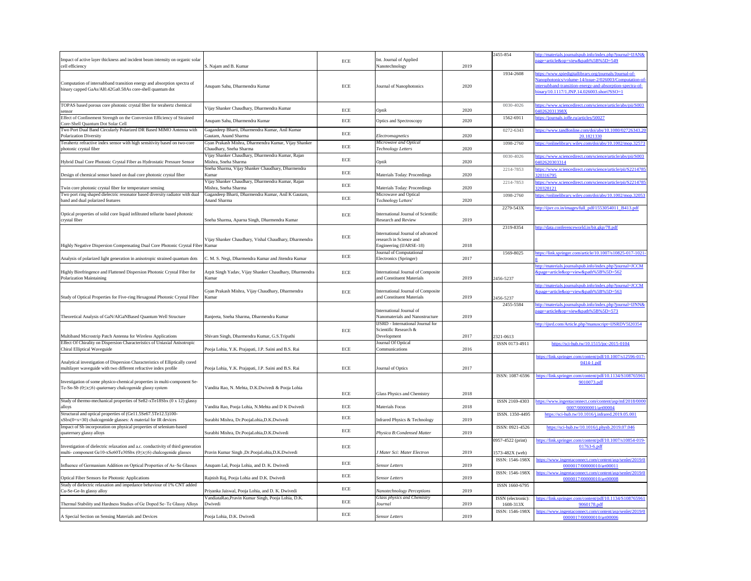| Impact of active layer thickness and incident beam intensity on organic solar<br>cell efficiency                                                    | S. Najam and B. Kumar                                                           | ECE        | Int. Journal of Applied<br>Nanotechnology                                               | 2019 | 2455-854                             | ttp://materials.journalspub.info<br>age=article&op=view&path%                                                                     |
|-----------------------------------------------------------------------------------------------------------------------------------------------------|---------------------------------------------------------------------------------|------------|-----------------------------------------------------------------------------------------|------|--------------------------------------|-----------------------------------------------------------------------------------------------------------------------------------|
| Computation of intersubband transition energy and absorption spectra of<br>binary capped GaAs/Al0.42Ga0.58As core-shell quantum dot                 | Anupam Sahu, Dharmendra Kumar                                                   | ECE        | Journal of Nanophotonics                                                                | 2020 | 1934-2608                            | ttps://www.spiedigitallibrary.c<br>Nanophotonics/volume-14/issu<br>ntersubband-transition-energy-<br>vinary/10.1117/1.JNP.14.0260 |
| TOPAS based porous core photonic crystal fiber for terahertz chemical<br>sensor                                                                     | Vijay Shanker Chaudhary, Dharmendra Kumar                                       | <b>ECE</b> | Optik                                                                                   | 2020 | 0030-4026                            | ttps://www.sciencedirect.com/<br>040262031398X                                                                                    |
| Effect of Confinement Strength on the Conversion Efficiency of Strained<br>Core-Shell Ouantum Dot Solar Cell                                        | Anupam Sahu, Dharmendra Kumar                                                   | <b>ECE</b> | Optics and Spectroscopy                                                                 | 2020 | 1562-6911                            | nttps://journals.ioffe.ru/articles/                                                                                               |
| Two Port Dual Band Circularly Polarized DR Based MIMO Antenna with<br><b>Polarization Diversity</b>                                                 | Gagandeep Bharti, Dharmendra Kumar, Anil Kumar<br>Gautam, Anand Sharma          | ECE        | Electromagnetics                                                                        | 2020 | 0272-6343                            | https://www.tandfonline.com/d<br>20.182                                                                                           |
| Terahertz refractive index sensor with high sensitivity based on two-core<br>photonic crystal fiber                                                 | Gyan Prakash Mishra, Dharmendra Kumar, Vijay Shanker<br>Chaudhary, Sneha Sharma | ECE        | Microwave and Optical<br>Technology Letters                                             | 2020 | 1098-2760                            | ttps://onlinelibrary.wiley.com/                                                                                                   |
| Hybrid Dual Core Photonic Crystal Fiber as Hydrostatic Pressure Sensor                                                                              | Vijay Shanker Chaudhary, Dharmendra Kumar, Rajan<br>Mishra, Sneha Sharma        | ECE        | Optik                                                                                   | 2020 | 0030-4026                            | ttps://www.sciencedirect.com/<br>0402620303314                                                                                    |
| Design of chemical sensor based on dual core photonic crystal fiber                                                                                 | Sneha Sharma, Vijay Shanker Chaudhary, Dharmendra<br>Kumar                      | ECE        | Materials Today: Proceedings                                                            | 2020 | 2214-7853                            | nttps://www.sciencedirect.com/<br>320316795                                                                                       |
| Twin core photonic crystal fiber for temperature sensing                                                                                            | Vijay Shanker Chaudhary, Dharmendra Kumar, Rajan<br>Mishra, Sneha Sharma        | ECE        | Materials Today: Proceedings                                                            | 2020 | 2214-7853                            | nttps://www.sciencedirect.com/<br>320328121                                                                                       |
| Two port ring shaped dielectric resonator based diversity radiator with dual<br>band and dual polarized features                                    | Gagandeep Bharti, Dharmendra Kumar, Anil K Gautam,<br>Anand Sharma              | ECE        | Microwave and Optical<br>Technology Letters'                                            | 2020 | 1098-2760                            | ttps://onlinelibrary.wiley.com/                                                                                                   |
| Optical properties of solid core liquid infiltrated tellurite based photonic<br>crystal fiber                                                       | Sneha Sharma, Aparna Singh, Dharmendra Kumar                                    | ECE        | <b>International Journal of Scientific</b><br><b>Research and Review</b>                | 2019 | 2279-543X                            | ttp://ijsrr.co.in/images/full_pd                                                                                                  |
| Highly Negative Dispersion Compensating Dual Core Photonic Crystal Fiber Kumar                                                                      | Vijay Shanker Chaudhary, Vishal Chaudhary, Dharmendra                           | ECE        | International Journal of advanced<br>research in Science and<br>Engineering (IJARSE-18) | 2018 | 2319-8354                            | ttp://data.conferenceworld.in/                                                                                                    |
| Analysis of polarized light generation in anisotropic strained quantum dots                                                                         | C. M. S. Negi, Dharmendra Kumar and Jitendra Kumar                              | ECE        | Journal of Computational<br>Electronics (Springer)                                      | 2017 | 1569-8025                            | tps://link.springer.com/article                                                                                                   |
| Highly Birefringence and Flattened Dispersion Photonic Crystal Fiber for<br><b>Polarization Maintaining</b>                                         | Arpit Singh Yadav, Vijay Shanker Chaudhary, Dharmendra<br>Kumar                 | ECE        | International Journal of Composite<br>and Constituent Materials                         | 2019 | 2456-5237                            | ttp://materials.journalspub.info<br>&page=article&op=view&path                                                                    |
| Study of Optical Properties for Five-ring Hexagonal Photonic Crystal Fiber                                                                          | Gyan Prakash Mishra, Vijay Chaudhary, Dharmendra<br>Kumar                       | ECE        | International Journal of Composite<br>and Constituent Materials                         | 2019 | 2456-5237                            | ttp://materials.journalspub.info<br><u> &amp;page=article&amp;op=view&amp;path</u>                                                |
| Theoretical Analysis of GaN/AlGaNBased Quantum Well Structure                                                                                       | Ranjeeta, Sneha Sharma, Dharmendra Kumar                                        |            | International Journal of<br>Nanomaterials and Nanostructure                             | 2019 | 2455-5584                            | nttp://materials.journalspub.info<br>age=article&op=view&path%                                                                    |
| Multiband Microstrip Patch Antenna for Wireless Applications                                                                                        | Shivam Singh, Dharmendra Kumar, G.S.Tripathi                                    | $\rm ECE$  | <b>IJSRD</b> - International Journal for<br>Scientific Research &<br>Development        | 2017 | 2321-0613                            | ttp://ijsrd.com/Article.php?ma                                                                                                    |
| Effect Of Chirality on Dispersion Characteristics of Uniaxial Anisotropic<br>Chiral Elliptical Waveguide                                            | Pooja Lohia, Y.K. Prajapati, J.P. Saini and B.S. Rai                            | ECE        | Journal Of Optical<br>Communications                                                    | 2016 | ISSN 0173-4911                       | https://sci-hub.tw/10.1                                                                                                           |
| Analytical investigation of Dispersion Characteristics of Elliptically cored<br>multilayer waveguide with two different refractive index profile    | Pooja Lohia, Y.K. Prajapati, J.P. Saini and B.S. Rai                            | ECE        | Journal of Optics                                                                       | 2017 |                                      | https://link.springer.com/conte<br>$0414 - 1$                                                                                     |
| Investigation of some physico-chemical properties in multi-component Se-<br>Te-Sn-Sb (0≤x≤6) quaternary chalcogenide glassy system                  | Vandita Rao, N. Mehta, D.K.Dwivedi & Pooja Lohia                                | ECE        | Glass Physics and Chemistry                                                             | 2018 | ISSN: 1087-6596                      | https://link.springer.com/conte<br>901007                                                                                         |
| Study of thermo-mechanical properties of Se82-xTe18Sbx (0 x 12) glassy<br>alloys                                                                    | Vandita Rao, Pooja Lohia, N.Mehta and D K Dwivedi                               | ECE        | Materials Focus                                                                         | 2018 | ISSN 2169-4303                       | ttps://www.ingentaconnect.co<br>0007/000000                                                                                       |
| Structural and optical properties of (Ge11.5Se67.5Te12.5)100-<br>xSbx(0=x=30) chalcogenide glasses: A material for IR devices                       | Surabhi Mishra, Dr.PoojaLohia,D.K.Dwivedi                                       | ECE        | Infrared Physics & Technology                                                           | 2019 | ISSN. 1350-4495                      | https://sci-hub.tw/10.1016                                                                                                        |
| Impact of Sb incorporation on physical properties of selenium-based<br>quaternary glassy alloys                                                     | Surabhi Mishra, Dr.PoojaLohia,D.K.Dwivedi                                       | ECE        | Physica B: Condensed Matter                                                             | 2019 | ISSN: 0921-4526                      | https://sci-hub.tw/10.101                                                                                                         |
| Investigation of dielectric relaxation and a.c. conductivity of third generation<br>multi- component Ge10-xSe60Te30Sbx (0≤x≤6) chalcogenide glasses | Pravin Kumar Singh , Dr. PoojaLohia, D. K. Dwivedi                              | ECE        | J Mater Sci: Mater Electron                                                             | 2019 | 0957-4522 (print)<br>1573-482X (web) | https://link.springer.com/conter<br>01763-                                                                                        |
| Influence of Germanium Addition on Optical Properties of As-Se Glasses                                                                              | Anupam Lal, Pooja Lohia, and D. K. Dwivedi                                      | ECE        | <b>Sensor Letters</b>                                                                   | 2019 | ISSN: 1546-198X                      | https://www.ingentaconnect.co<br>0000017/00000                                                                                    |
| <b>Optical Fiber Sensors for Photonic Applications</b>                                                                                              | Rajnish Raj, Pooja Lohia and D.K. Dwivedi                                       | ECE        | <b>Sensor Letters</b>                                                                   | 2019 | ISSN: 1546-198X                      | https://www.ingentaconnect.co<br>0000017/00000                                                                                    |
| Study of dielectric relaxation and impedance behaviour of 1% CNT added<br>Cu-Se-Ge-In glassy alloy                                                  | Priyanka Jaiswal, Pooja Lohia, and D. K. Dwivedi                                | ECE        | Nanotechnology Perceptions                                                              | 2019 | ISSN 1660-6795                       |                                                                                                                                   |
| Thermal Stability and Hardness Studies of Ge Doped Se-Te Glassy Alloys                                                                              | VandiataRao, Pravin Kumar Singh, Pooja Lohia, D.K.<br>Dwivedi                   | ECE        | Glass physics and Chemistry<br>Journal                                                  | 2019 | ISSN (electronic):<br>1608-313X      | https://link.springer.com/conte<br>906017                                                                                         |
| A Special Section on Sensing Materials and Devices                                                                                                  | Pooja Lohia, D.K. Dwivedi                                                       | ECE        | <b>Sensor Letters</b>                                                                   | 2019 | ISSN: 1546-198X                      | https://www.ingentaconnect.co<br>0000017/00000                                                                                    |

| 2455-854                             | http://materials.journalspub.info/index.php?journal=IJAN&                                        |
|--------------------------------------|--------------------------------------------------------------------------------------------------|
|                                      | page=article&op=view&path%5B%5D=549                                                              |
| 1934-2608                            | https://www.spiedigitallibrary.org/journals/Journal-of-                                          |
|                                      | Nanophotonics/volume-14/issue-2/026003/Computation-of-                                           |
|                                      | intersubband-transition-energy-and-absorption-spectra-of-                                        |
|                                      | binary/10.1117/1.JNP.14.026003.short?SSO=1                                                       |
| 0030-4026                            | https://www.sciencedirect.com/science/article/abs/pii/S003<br>040262031398X                      |
| 1562-6911                            | https://journals.ioffe.ru/articles/50027                                                         |
| 0272-6343                            | https://www.tandfonline.com/doi/abs/10.1080/02726343.20<br>20.1821330                            |
| 1098-2760                            | https://onlinelibrary.wiley.com/doi/abs/10.1002/mop.32573                                        |
| 0030-4026                            | https://www.sciencedirect.com/science/article/abs/pii/S003<br>0402620303314                      |
| 2214-7853                            | https://www.sciencedirect.com/science/article/pii/S2214785<br>320316795                          |
| 2214-7853                            | https://www.sciencedirect.com/science/article/pii/S2214785<br>320328121                          |
| 1098-2760                            | https://onlinelibrary.wiley.com/doi/abs/10.1002/mop.32053                                        |
| 2279-543X                            | http://ijsrr.co.in/images/full_pdf/1553054011_B413.pdf                                           |
|                                      |                                                                                                  |
| 2319-8354                            | http://data.conferenceworld.in/bit.gkp/78.pdf                                                    |
|                                      |                                                                                                  |
| 1569-8025                            | https://link.springer.com/article/10.1007/s10825-017-1021                                        |
|                                      |                                                                                                  |
|                                      | http://materials.journalspub.info/index.php?journal=JCCM                                         |
| 2456-5237                            | &page=article&op=view&path%5B%5D=562                                                             |
|                                      | http://materials.journalspub.info/index.php?journal=JCCM                                         |
|                                      | &page=article&op=view&path%5B%5D=563                                                             |
| 2456-5237                            |                                                                                                  |
| 2455-5584                            | http://materials.journalspub.info/index.php?journal=IJNN&<br>page=article&op=view&path%5B%5D=573 |
|                                      | http://ijsrd.com/Article.php?manuscript=IJSRDV5I20354                                            |
|                                      |                                                                                                  |
| 2321-0613                            |                                                                                                  |
| ISSN 0173-4911                       | https://sci-hub.tw/10.1515/joc-2015-0104                                                         |
|                                      | https://link.springer.com/content/pdf/10.1007/s12596-017-<br>0414-1.pdf                          |
| ISSN: 1087-6596                      | https://link.springer.com/content/pdf/10.1134/S108765961                                         |
|                                      | 9010073.pdf                                                                                      |
|                                      |                                                                                                  |
| ISSN 2169-4303                       | https://www.ingentaconnect.com/content/asp/mf/2018/0000<br>0007/00000001/art00004                |
| ISSN. 1350-4495                      | https://sci-hub.tw/10.1016/j.infrared.2019.05.001                                                |
| ISSN: 0921-4526                      | https://sci-hub.tw/10.1016/j.physb.2019.07.046                                                   |
| 0957-4522 (print)                    | https://link.springer.com/content/pdf/10.1007/s10854-019-                                        |
|                                      | 01763-6.pdf                                                                                      |
| $1573-482X$ (web)<br>ISSN: 1546-198X |                                                                                                  |
|                                      | https://www.ingentaconnect.com/content/asp/senlet/2019/0<br>0000017/00000010/art00011            |
| ISSN: 1546-198X                      | https://www.ingentaconnect.com/content/asp/senlet/2019/0<br>0000017/00000010/art00008            |
| ISSN 1660-6795                       |                                                                                                  |
| ISSN (electronic):                   | https://link.springer.com/content/pdf/10.1134/S108765961                                         |
| 1608-313X                            | 9060178.pdf                                                                                      |
| ISSN: 1546-198X                      | https://www.ingentaconnect.com/content/asp/senlet/2019/0<br>0000017/00000010/art00006            |
|                                      |                                                                                                  |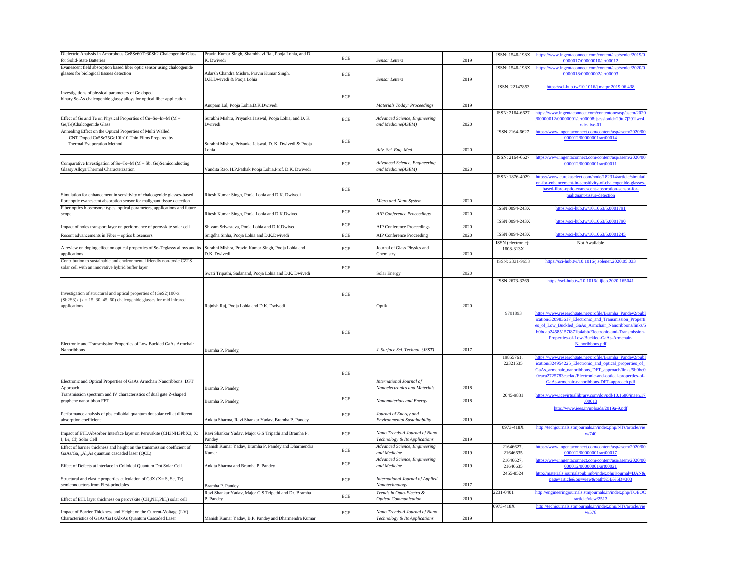| Dielectric Analysis in Amorphous Ge8Se60Te30Sb2 Chalcogenide Glass<br>for Solid-State Batteries                                                                            | Pravin Kumar Singh, Shambhavi Rai, Pooja Lohia, and D.<br>K. Dwivedi                                                  | ECE       | <b>Sensor Letters</b>                                                                           | 2019 | ISSN: 1546-198X                 | ttps://www.ingentaconnect.com/content/asp/ser<br>0000017/00000010/art00012                                                                                                                                                                         |
|----------------------------------------------------------------------------------------------------------------------------------------------------------------------------|-----------------------------------------------------------------------------------------------------------------------|-----------|-------------------------------------------------------------------------------------------------|------|---------------------------------|----------------------------------------------------------------------------------------------------------------------------------------------------------------------------------------------------------------------------------------------------|
| Evanescent field absorption based fiber optic sensor using chalcogenide<br>glasses for biological tissues detection                                                        | Adarsh Chandra Mishra, Pravin Kumar Singh,<br>D.K.Dwivedi & Pooja Lohia                                               | ECE       | <b>Sensor Letters</b>                                                                           | 2019 | ISSN: 1546-198X                 | ittps://www.ingentaconnect.com/content/asp/ser<br>0000018/00000002/art00003                                                                                                                                                                        |
| Investigations of physical parameters of Ge doped<br>binary Se-As chalcogenide glassy alloys for optical fiber application                                                 |                                                                                                                       | ECE       |                                                                                                 | 2019 | ISSN. 22147853                  | https://sci-hub.tw/10.1016/j.matpr.2019.06                                                                                                                                                                                                         |
| Effect of Ge and Te on Physical Properties of Cu-Se-In-M ( $M =$<br>Ge, Te) Chalcogenide Glass                                                                             | Anupam Lal, Pooja Lohia, D.K. Dwivedi<br>Surabhi Mishra, Priyanka Jaiswal, Pooja Lohia, and D. K.<br>Dwivedi          | ECE       | <b>Materials Today: Proceedings</b><br>Advanced Science, Engineering<br>and Medicine(ASEM)      | 2020 | ISSN: 2164-6627                 | tps://www.ingentaconnect.com/contentone/asp/<br>/00000012/00000001/art00008;jsessionid=29tu<br>$x-ic-live-01$                                                                                                                                      |
| Annealing Effect on the Optical Properties of Multi Walled<br>CNT Doped Cu5Se75Ge10In10 Thin Films Prepared by<br><b>Thermal Evaporation Method</b>                        | Surabhi Mishra, Priyanka Jaiswal, D. K. Dwivedi & Pooja<br>Lohia                                                      | ECE       | Adv. Sci. Eng. Med                                                                              | 2020 | ISSN 2164-6627                  | https://www.ingentaconnect.com/content/asp/ase<br>000012/00000001/art00014                                                                                                                                                                         |
| Comparative Investigation of Se-Te-M ( $M = Sb$ , Ge)Semiconducting<br>Glassy Alloys: Thermal Characterization                                                             | Vandita Rao, H.P.Pathak Pooja Lohia, Prof. D.K. Dwivedi                                                               | ECE       | Advanced Science, Engineering<br>and Medicine(ASEM)                                             | 2020 | ISSN: 2164-6627                 | nttps://www.ingentaconnect.com/content/asp/ase<br>000012/00000001/art00011                                                                                                                                                                         |
| Simulation for enhancement in sensitivity of chalcogenide glasses-based<br>fibre optic evanescent absorption sensor for malignant tissue detection                         | Ritesh Kumar Singh, Pooja Lohia and D.K. Dwivedi                                                                      | ECE       | Micro and Nano System                                                                           | 2020 | ISSN: 1876-4029                 | nttps://www.eurekaselect.com/node/182314/artio<br>on-for-enhancement-in-sensitivity-of-chalcogeni<br>based-fibre-optic-evanescent-absorption-sens<br>malignant-tissue-detection                                                                    |
| Fiber optics biosensors: types, optical parameters, applications and future<br>scope                                                                                       | Ritesh Kumar Singh, Pooja Lohia and D.K.Dwivedi                                                                       | ECE       | <b>AIP Conference Proceedings</b>                                                               | 2020 | ISSN 0094-243X                  | https://sci-hub.tw/10.1063/5.0001791                                                                                                                                                                                                               |
| Impact of holes transport layer on performance of perovskite solar cell                                                                                                    | Shivam Srivastava, Pooja Lohia and D.K.Dwivedi                                                                        | ECE       | <b>AIP Conference Proceedings</b>                                                               | 2020 | ISSN 0094-243X                  | https://sci-hub.tw/10.1063/5.0001790                                                                                                                                                                                                               |
| Recent advancements in Fiber - optics biosensors                                                                                                                           | Snigdha Sinha, Pooja Lohia and D.K.Dwivedi                                                                            | ECE       | <b>AIP Conference Proceeding</b>                                                                | 2020 | ISSN 0094-243X                  | https://sci-hub.tw/10.1063/5.0001245                                                                                                                                                                                                               |
| A review on doping effect on optical properties of Se-Teglassy alloys and its Surabhi Mishra, Pravin Kumar Singh, Pooja Lohia and<br>applications                          | D.K. Dwivedi                                                                                                          | ECE       | Journal of Glass Physics and<br>Chemistry                                                       | 2020 | ISSN (electronic):<br>1608-313X | Not Awailable                                                                                                                                                                                                                                      |
| Contribution to sustainable and environmental friendly non-toxic CZTS<br>solar cell with an innovative hybrid buffer layer                                                 | Swati Tripathi, Sadanand, Pooja Lohia and D.K. Dwivedi                                                                | ECE       | Solar Energy                                                                                    | 2020 | ISSN: 2321-9653                 | https://sci-hub.tw/10.1016/j.solener.2020.0                                                                                                                                                                                                        |
| Investigation of structural and optical properties of (GeS2)100-x<br>$(Sb2S3)x$ (x = 15, 30, 45, 60) chalcogenide glasses for mid infrared<br>applications                 | Rajnish Raj, Pooja Lohia and D.K. Dwivedi                                                                             | ECE       | Optik                                                                                           | 2020 | ISSN 2673-3269                  | https://sci-hub.tw/10.1016/j.ijleo.2020.16                                                                                                                                                                                                         |
| Electronic and Transmission Properties of Low Buckled GaAs Armchair<br>Nanoribbons                                                                                         | Bramha P. Pandey,                                                                                                     | ECE       | J. Surface Sci. Technol. (JSST)                                                                 | 2017 | 9701893                         | https://www.researchgate.net/profile/Bramha_Pa<br>cation/320983617 Electronic and Transmissio<br>es_of_Low_Buckled_GaAs_Armchair_Nanoribb<br>b0bdab24585157f871b4abb/Electronic-and-Tra<br>Properties-of-Low-Buckled-GaAs-Armch<br>Nanoribbons.pdf |
| Electronic and Optical Properties of GaAs Armchair Nanoribbons: DFT<br>Approach                                                                                            | Bramha P. Pandey,                                                                                                     | ECE       | International Journal of<br>Nanoelectronics and Materials                                       | 2018 | 19855761,<br>22321535           | https://www.researchgate.net/profile/Bramha Pa<br>ication/324954225 Electronic and optical pro-<br>GaAs_armchair_nanoribbons_DFT_approach/lin<br>0eaca2725783eacfad/Electronic-and-optical-pro<br>GaAs-armchair-nanoribbons-DFT-approac            |
| Transmission spectrum and IV characteristics of dual gate Z-shaped<br>graphene nanoribbon FET                                                                              | Bramha P. Pandey,                                                                                                     | ECE       | Nanomaterials and Energy                                                                        | 2018 | 2045-9831                       | https://www.icevirtuallibrary.com/doi/pdf/10.168<br>.00013                                                                                                                                                                                         |
| Performance analysis of pbs colloidal quantum dot solar cell at different<br>absorption coefficient                                                                        | Ankita Sharma, Ravi Shankar Yadav, Bramha P. Pandey                                                                   | ECE       | Journal of Energy and<br>Environmental Sustainability                                           | 2019 |                                 | http://www.jees.in/uploads/2019a-9.po                                                                                                                                                                                                              |
| Impact of ETL/Absorber Interface layer on Perovskite (CH3NH3PbX3, X:<br>I, Br, Cl) Solar Cell<br>Effect of barrier thickness and height on the transmission coefficient of | Ravi Shankar Yadav, Major G.S Tripathi and Bramha P.<br>Pandey<br>Manish Kumar Yadav, Bramha P. Pandey and Dharmendra | $\rm ECE$ | Nano Trends-A Journal of Nano<br>Technology & Its Applications<br>Advanced Science, Engineering | 2019 | 0973-418X<br>21646627,          | nttp://techjournals.stmjournals.in/index.php/NTs<br>W/740<br>https://www.ingentaconnect.com/content/asp/ase                                                                                                                                        |
| GaAs/Ga <sub>1-x</sub> Al <sub>x</sub> As quantum cascaded laser (QCL)                                                                                                     | Kumar                                                                                                                 | ECE       | and Medicine<br>Advanced Science, Engineering                                                   | 2019 | 21646635<br>21646627,           | 000012/00000001/art00017<br>https://www.ingentaconnect.com/content/asp/ase                                                                                                                                                                         |
| Effect of Defects at interface in Colloidal Quantum Dot Solar Cell                                                                                                         | Ankita Sharma and Bramha P. Pandey                                                                                    | ECE       | and Medicine                                                                                    | 2019 | 21646635<br>2455-8524           | 000012/00000001/art00021<br>http://materials.journalspub.info/index.php?journ                                                                                                                                                                      |
| Structural and elastic properties calculation of CdX $(X = S, Se, Te)$<br>semiconductors from First-principles                                                             | Bramha P. Pandey                                                                                                      | ECE       | International Journal of Applied<br>Nanotechnology                                              | 2017 |                                 | page=article&op=view&path%5B%5D=                                                                                                                                                                                                                   |
| Effect of ETL layer thickness on perovskite $(CH_3NH_3PbI_3)$ solar cell                                                                                                   | Ravi Shankar Yadav, Major G.S Tripathi and Dr. Bramha<br>P. Pandey                                                    | $\rm ECE$ | Trends in Opto-Electro &<br><b>Optical Communication</b>                                        | 2019 | 2231-0401                       | http://engineeringjournals.stmjournals.in/index.p<br>/article/view/2513                                                                                                                                                                            |
| Impact of Barrier Thickness and Height on the Current-Voltage (I-V)<br>Characteristics of GaAs/Ga1xAlxAs Quantum Cascaded Laser                                            | Manish Kumar Yadav, B.P. Pandey and Dharmendra Kumar                                                                  | ECE       | Nano Trends-A Journal of Nano<br>Technology & Its Applications                                  | 2019 | 0973-418X                       | http://techjournals.stmjournals.in/index.php/NTs<br>W/578                                                                                                                                                                                          |

| ISSN: 1546-198X                 | https://www.ingentaconnect.com/content/asp/senlet/2019/0                                                                                                                                                                                                                                         |
|---------------------------------|--------------------------------------------------------------------------------------------------------------------------------------------------------------------------------------------------------------------------------------------------------------------------------------------------|
| ISSN: 1546-198X                 | 0000017/00000010/art00012<br>https://www.ingentaconnect.com/content/asp/senlet/2020/0                                                                                                                                                                                                            |
|                                 | 0000018/00000002/art00003                                                                                                                                                                                                                                                                        |
| ISSN. 22147853                  | https://sci-hub.tw/10.1016/j.matpr.2019.06.438                                                                                                                                                                                                                                                   |
|                                 |                                                                                                                                                                                                                                                                                                  |
| ISSN: 2164-6627                 | https://www.ingentaconnect.com/contentone/asp/asem/2020                                                                                                                                                                                                                                          |
|                                 | /00000012/00000001/art00008;jsessionid=29tu7j291iwc4.<br>$x$ -ic-live-01                                                                                                                                                                                                                         |
| ISSN 2164-6627                  | https://www.ingentaconnect.com/content/asp/asem/2020/00<br>000012/00000001/art00014                                                                                                                                                                                                              |
| ISSN: 2164-6627                 | https://www.ingentaconnect.com/content/asp/asem/2020/00<br>000012/00000001/art00011                                                                                                                                                                                                              |
| ISSN: 1876-4029                 | https://www.eurekaselect.com/node/182314/article/simulati                                                                                                                                                                                                                                        |
|                                 | on-for-enhancement-in-sensitivity-of-chalcogenide-glasses-<br>based-fibre-optic-evanescent-absorption-sensor-for-                                                                                                                                                                                |
|                                 | malignant-tissue-detection                                                                                                                                                                                                                                                                       |
| ISSN 0094-243X                  | https://sci-hub.tw/10.1063/5.0001791                                                                                                                                                                                                                                                             |
| ISSN 0094-243X                  | https://sci-hub.tw/10.1063/5.0001790                                                                                                                                                                                                                                                             |
| ISSN 0094-243X                  | https://sci-hub.tw/10.1063/5.0001245                                                                                                                                                                                                                                                             |
| ISSN (electronic):<br>1608-313X | Not Awailable                                                                                                                                                                                                                                                                                    |
|                                 |                                                                                                                                                                                                                                                                                                  |
| ISSN: 2321-9653                 | https://sci-hub.tw/10.1016/j.solener.2020.05.033                                                                                                                                                                                                                                                 |
| ISSN 2673-3269                  | https://sci-hub.tw/10.1016/j.ijleo.2020.165041                                                                                                                                                                                                                                                   |
| 9701893                         | https://www.researchgate.net/profile/Bramha_Pandey2/publ<br>ication/320983617_Electronic_and_Transmission_Properti<br>es_of_Low_Buckled_GaAs_Armchair_Nanoribbons/links/5<br>b0bdab24585157f871b4abb/Electronic-and-Transmission-<br>Properties-of-Low-Buckled-GaAs-Armchair-<br>Nanoribbons.pdf |
| 19855761,                       | https://www.researchgate.net/profile/Bramha Pandey2/publ                                                                                                                                                                                                                                         |
| 22321535                        | ication/324954225 Electronic and optical properties of<br>GaAs_armchair_nanoribbons_DFT_approach/links/5b0be0<br>Oeaca2725783eacfad/Electronic-and-optical-properties-of-<br>GaAs-armchair-nanoribbons-DFT-approach.pdf                                                                          |
| 2045-9831                       | https://www.icevirtuallibrary.com/doi/pdf/10.1680/jnaen.17<br><u>.00013</u>                                                                                                                                                                                                                      |
|                                 | http://www.jees.in/uploads/2019a-9.pdf                                                                                                                                                                                                                                                           |
| 0973-418X                       | http://techjournals.stmjournals.in/index.php/NTs/article/vie<br>w/740                                                                                                                                                                                                                            |
| 21646627,<br>21646635           | https://www.ingentaconnect.com/content/asp/asem/2020/00<br>000012/00000001/art00017                                                                                                                                                                                                              |
| 21646627,<br>21646635           | https://www.ingentaconnect.com/content/asp/asem/2020/00<br>000012/00000001/art00021                                                                                                                                                                                                              |
| 2455-8524                       | http://materials.journalspub.info/index.php?journal=IJAN&<br>page=article&op=view&path%5B%5D=303                                                                                                                                                                                                 |
| 2231-0401                       | http://engineeringjournals.stmjournals.in/index.php/TOEOC<br>/article/view/2513                                                                                                                                                                                                                  |
| 0973-418X                       | http://techjournals.stmjournals.in/index.php/NTs/article/vie<br>w/578                                                                                                                                                                                                                            |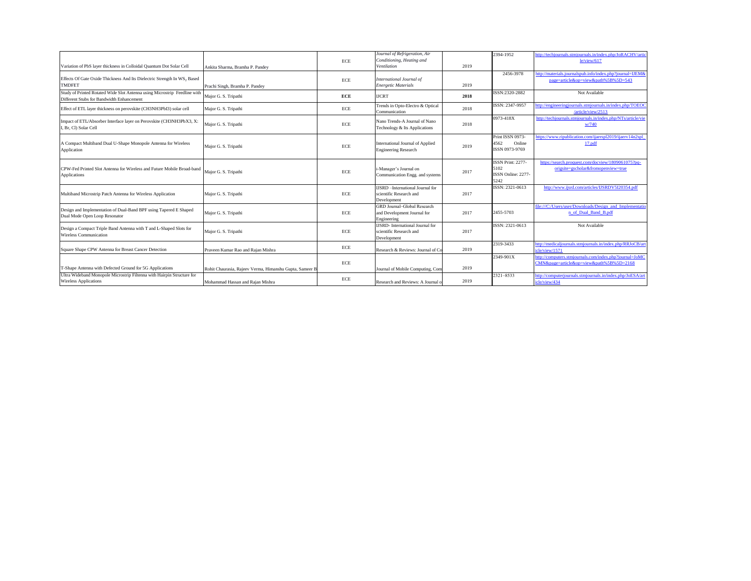|                                                                                                                        |                                                         |            | Journal of Refrigeration, Air                                                      |      | 2394-1952                                               | ttp://techjournals.stmjournals.in/index.php/JoRACHV/artic                                 |
|------------------------------------------------------------------------------------------------------------------------|---------------------------------------------------------|------------|------------------------------------------------------------------------------------|------|---------------------------------------------------------|-------------------------------------------------------------------------------------------|
|                                                                                                                        |                                                         | ECE        | Conditioning, Heating and                                                          |      |                                                         | le/view/617                                                                               |
| Variation of PbS layer thickness in Colloidal Quantum Dot Solar Cell                                                   | Ankita Sharma, Bramha P. Pandey                         |            | Ventilation                                                                        | 2019 |                                                         |                                                                                           |
|                                                                                                                        |                                                         |            |                                                                                    |      | 2456-3978                                               | http://materials.journalspub.info/index.php?journal=IJEM&                                 |
| Effects Of Gate Oxide Thickness And Its Dielectric Strength In WS <sub>2</sub> Based                                   |                                                         | ECE        | International Journal of                                                           |      |                                                         | page=article&op=view&path%5B%5D=543                                                       |
| <b>TMDFET</b>                                                                                                          | Prachi Singh, Bramha P. Pandey                          |            | <b>Energetic Materials</b>                                                         | 2019 |                                                         |                                                                                           |
| Study of Printed Rotated Wide Slot Antenna using Microstrip Feedline with<br>Different Stubs for Bandwidth Enhancement | Major G. S. Tripathi                                    | <b>ECE</b> | <b>IJCRT</b>                                                                       | 2018 | ISSN:2320-2882                                          | Not Available                                                                             |
| Effect of ETL layer thickness on perovskite (CH3NH3PbI3) solar cell                                                    | Major G. S. Tripathi                                    | ECE        | Trends in Opto-Electro & Optical<br>Communication                                  | 2018 | ISSN: 2347-9957                                         | http://engineeringjournals.stmjournals.in/index.php/TOEOC<br>/article/view/2513           |
| Impact of ETL/Absorber Interface layer on Perovskite (CH3NH3PbX3, X:<br>I, Br, Cl) Solar Cell                          | Major G. S. Tripathi                                    | ECE        | Nano Trends-A Journal of Nano<br>Technology & Its Applications                     | 2018 | 0973-418X                                               | http://techjournals.stmjournals.in/index.php/NTs/article/vie<br>W/740                     |
| A Compact Multiband Dual U-Shape Monopole Antenna for Wireless<br>Application                                          | Major G. S. Tripathi                                    | ECE        | International Journal of Applied<br><b>Engineering Research</b>                    | 2019 | Print ISSN 0973-<br>4562<br>Online<br>ISSN 0973-9769    | ttps://www.ripublication.com/jiaerspl2019/jiaery14n2spl<br>17.pdf                         |
| CPW-Fed Printed Slot Antenna for Wireless and Future Mobile Broad-band<br>Applications                                 | Major G. S. Tripathi                                    | <b>ECE</b> | i-Manager's Journal on<br>Communication Engg. and systems                          | 2017 | ISSN Print: 2277-<br>5102<br>ISSN Online: 2277-<br>5242 | https://search.proquest.com/docview/1809061075?pq-<br>origsite=gscholar&fromopenview=true |
| Multiband Microstrip Patch Antenna for Wireless Application                                                            | Major G. S. Tripathi                                    | ECE        | <b>IJSRD</b> - International Journal for<br>scientific Research and<br>Development | 2017 | ISSN: 2321-0613                                         | http://www.ijsrd.com/articles/IJSRDV5I20354.pdf                                           |
| Design and Implementation of Dual-Band BPF using Tapered E Shaped<br>Dual Mode Open Loop Resonator                     | Major G. S. Tripathi                                    | ECE        | GRD Journal-Global Research<br>and Development Journal for<br>Engineering          | 2017 | 2455-5703                                               | ile:///C:/Users/user/Downloads/Design_and_Implementation<br>n of Dual Band B.pdf          |
| Design a Compact Triple Band Antenna with T and L-Shaped Slots for<br>Wireless Communication                           | Major G. S. Tripathi                                    | ECE        | <b>USRD</b> -International Journal for<br>scientific Research and<br>Development   | 2017 | ISSN: 2321-0613                                         | Not Available                                                                             |
| Square Shape CPW Antenna for Breast Cancer Detection                                                                   | Praveen Kumar Rao and Rajan Mishra                      | ECE        | Research & Reviews: Journal of Co                                                  | 2019 | 2319-3433                                               | http://medicaljournals.stmjournals.in/index.php/RRJoCB/ar<br>icle/view/1571               |
|                                                                                                                        |                                                         |            |                                                                                    |      | 2349-901X                                               | ttp://computers.stmjournals.com/index.php?journal=JoMC                                    |
| T-Shape Antenna with Defected Ground for 5G Applications                                                               | Rohit Chaurasia, Rajeev Verma, Himanshu Gupta, Sameer I | ECE        | Journal of Mobile Computing, Com                                                   | 2019 |                                                         | CMN&page=article&op=view&path%5B%5D=2168                                                  |
| Ultra Wideband Monopole Microstrip Filtenna with Hairpin Structure for<br><b>Wireless Applications</b>                 | Mohammad Hassan and Rajan Mishra                        | ECE        | Research and Reviews: A Journal o                                                  | 2019 | 2321-8533                                               | http://computerjournals.stmjournals.in/index.php/JoESA/art<br>icle/view/434               |